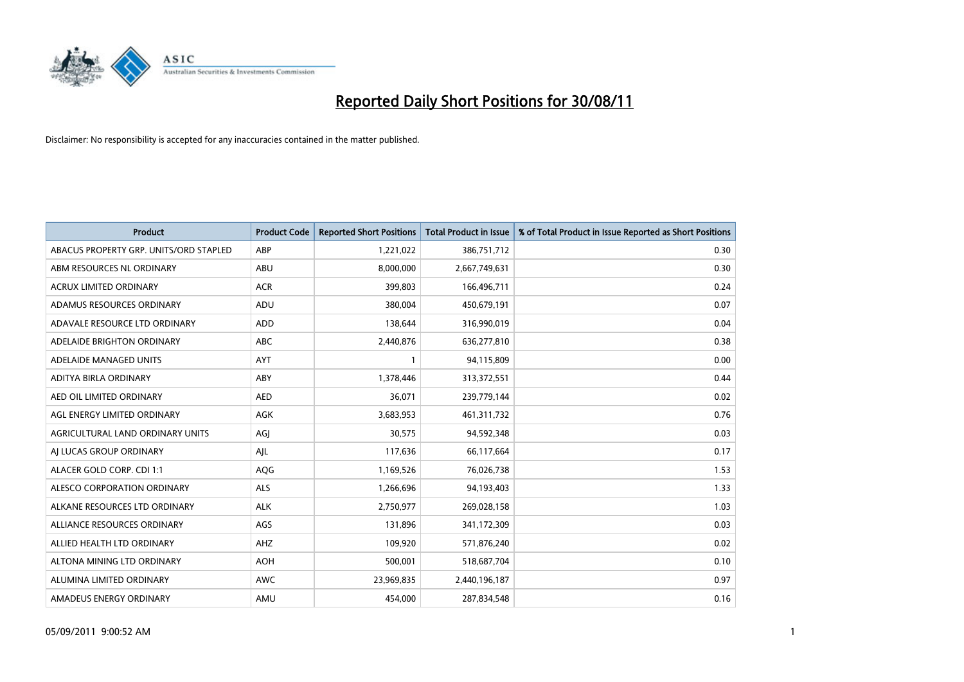

| <b>Product</b>                         | <b>Product Code</b> | <b>Reported Short Positions</b> | <b>Total Product in Issue</b> | % of Total Product in Issue Reported as Short Positions |
|----------------------------------------|---------------------|---------------------------------|-------------------------------|---------------------------------------------------------|
| ABACUS PROPERTY GRP. UNITS/ORD STAPLED | ABP                 | 1,221,022                       | 386,751,712                   | 0.30                                                    |
| ABM RESOURCES NL ORDINARY              | ABU                 | 8,000,000                       | 2,667,749,631                 | 0.30                                                    |
| <b>ACRUX LIMITED ORDINARY</b>          | <b>ACR</b>          | 399,803                         | 166,496,711                   | 0.24                                                    |
| ADAMUS RESOURCES ORDINARY              | ADU                 | 380,004                         | 450,679,191                   | 0.07                                                    |
| ADAVALE RESOURCE LTD ORDINARY          | <b>ADD</b>          | 138,644                         | 316,990,019                   | 0.04                                                    |
| ADELAIDE BRIGHTON ORDINARY             | <b>ABC</b>          | 2,440,876                       | 636,277,810                   | 0.38                                                    |
| ADELAIDE MANAGED UNITS                 | <b>AYT</b>          |                                 | 94,115,809                    | 0.00                                                    |
| ADITYA BIRLA ORDINARY                  | ABY                 | 1,378,446                       | 313,372,551                   | 0.44                                                    |
| AED OIL LIMITED ORDINARY               | <b>AED</b>          | 36,071                          | 239,779,144                   | 0.02                                                    |
| AGL ENERGY LIMITED ORDINARY            | <b>AGK</b>          | 3,683,953                       | 461,311,732                   | 0.76                                                    |
| AGRICULTURAL LAND ORDINARY UNITS       | AGJ                 | 30,575                          | 94,592,348                    | 0.03                                                    |
| AI LUCAS GROUP ORDINARY                | AJL                 | 117,636                         | 66,117,664                    | 0.17                                                    |
| ALACER GOLD CORP. CDI 1:1              | AQG                 | 1,169,526                       | 76,026,738                    | 1.53                                                    |
| ALESCO CORPORATION ORDINARY            | <b>ALS</b>          | 1,266,696                       | 94,193,403                    | 1.33                                                    |
| ALKANE RESOURCES LTD ORDINARY          | <b>ALK</b>          | 2,750,977                       | 269,028,158                   | 1.03                                                    |
| ALLIANCE RESOURCES ORDINARY            | AGS                 | 131,896                         | 341,172,309                   | 0.03                                                    |
| ALLIED HEALTH LTD ORDINARY             | AHZ                 | 109,920                         | 571,876,240                   | 0.02                                                    |
| ALTONA MINING LTD ORDINARY             | <b>AOH</b>          | 500,001                         | 518,687,704                   | 0.10                                                    |
| ALUMINA LIMITED ORDINARY               | <b>AWC</b>          | 23,969,835                      | 2,440,196,187                 | 0.97                                                    |
| AMADEUS ENERGY ORDINARY                | AMU                 | 454.000                         | 287,834,548                   | 0.16                                                    |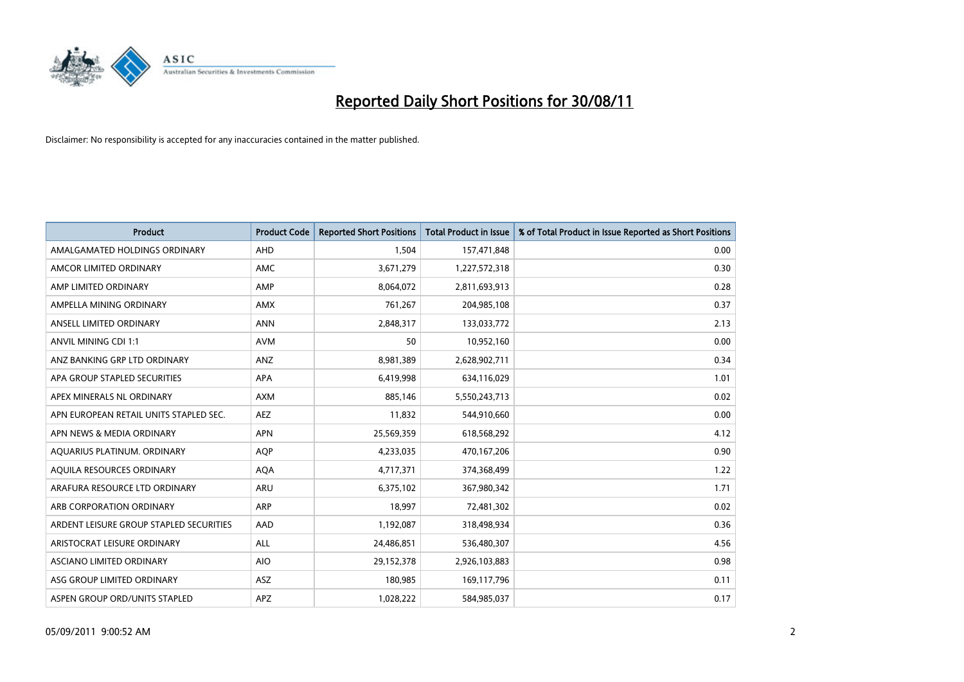

| Product                                 | <b>Product Code</b> | <b>Reported Short Positions</b> | <b>Total Product in Issue</b> | % of Total Product in Issue Reported as Short Positions |
|-----------------------------------------|---------------------|---------------------------------|-------------------------------|---------------------------------------------------------|
| AMALGAMATED HOLDINGS ORDINARY           | AHD                 | 1,504                           | 157,471,848                   | 0.00                                                    |
| AMCOR LIMITED ORDINARY                  | <b>AMC</b>          | 3,671,279                       | 1,227,572,318                 | 0.30                                                    |
| AMP LIMITED ORDINARY                    | AMP                 | 8,064,072                       | 2,811,693,913                 | 0.28                                                    |
| AMPELLA MINING ORDINARY                 | <b>AMX</b>          | 761,267                         | 204,985,108                   | 0.37                                                    |
| ANSELL LIMITED ORDINARY                 | <b>ANN</b>          | 2,848,317                       | 133,033,772                   | 2.13                                                    |
| ANVIL MINING CDI 1:1                    | <b>AVM</b>          | 50                              | 10,952,160                    | 0.00                                                    |
| ANZ BANKING GRP LTD ORDINARY            | ANZ                 | 8,981,389                       | 2,628,902,711                 | 0.34                                                    |
| APA GROUP STAPLED SECURITIES            | <b>APA</b>          | 6,419,998                       | 634,116,029                   | 1.01                                                    |
| APEX MINERALS NL ORDINARY               | <b>AXM</b>          | 885,146                         | 5,550,243,713                 | 0.02                                                    |
| APN EUROPEAN RETAIL UNITS STAPLED SEC.  | <b>AEZ</b>          | 11,832                          | 544,910,660                   | 0.00                                                    |
| APN NEWS & MEDIA ORDINARY               | <b>APN</b>          | 25,569,359                      | 618,568,292                   | 4.12                                                    |
| AQUARIUS PLATINUM. ORDINARY             | AQP                 | 4,233,035                       | 470,167,206                   | 0.90                                                    |
| AQUILA RESOURCES ORDINARY               | <b>AQA</b>          | 4,717,371                       | 374,368,499                   | 1.22                                                    |
| ARAFURA RESOURCE LTD ORDINARY           | <b>ARU</b>          | 6,375,102                       | 367,980,342                   | 1.71                                                    |
| ARB CORPORATION ORDINARY                | <b>ARP</b>          | 18,997                          | 72,481,302                    | 0.02                                                    |
| ARDENT LEISURE GROUP STAPLED SECURITIES | AAD                 | 1,192,087                       | 318,498,934                   | 0.36                                                    |
| ARISTOCRAT LEISURE ORDINARY             | ALL                 | 24,486,851                      | 536,480,307                   | 4.56                                                    |
| <b>ASCIANO LIMITED ORDINARY</b>         | <b>AIO</b>          | 29,152,378                      | 2,926,103,883                 | 0.98                                                    |
| ASG GROUP LIMITED ORDINARY              | <b>ASZ</b>          | 180,985                         | 169,117,796                   | 0.11                                                    |
| ASPEN GROUP ORD/UNITS STAPLED           | <b>APZ</b>          | 1,028,222                       | 584,985,037                   | 0.17                                                    |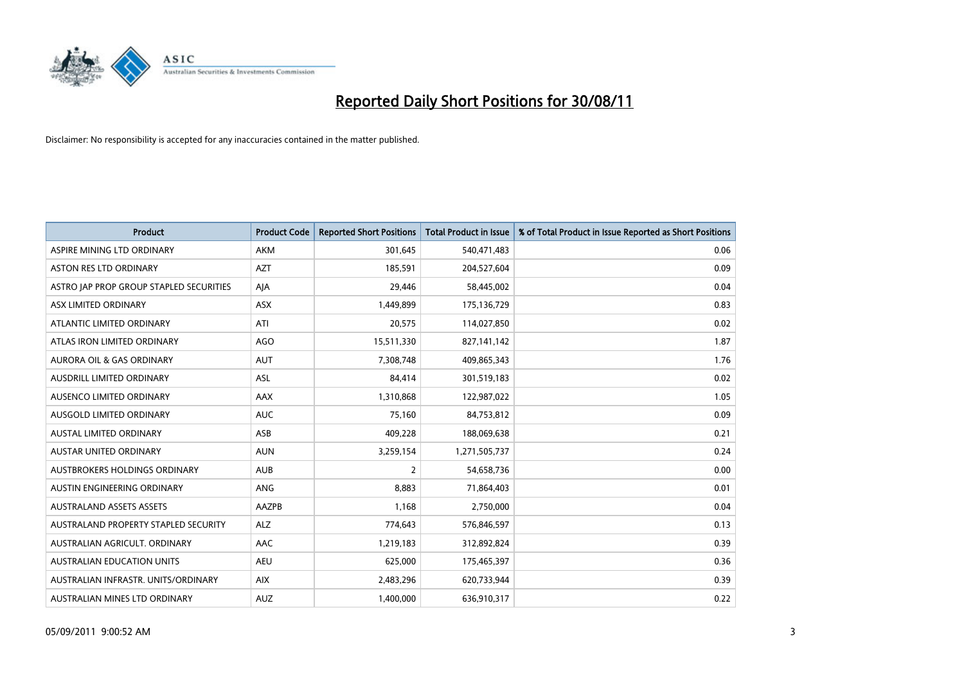

| <b>Product</b>                          | <b>Product Code</b> | <b>Reported Short Positions</b> | <b>Total Product in Issue</b> | % of Total Product in Issue Reported as Short Positions |
|-----------------------------------------|---------------------|---------------------------------|-------------------------------|---------------------------------------------------------|
| ASPIRE MINING LTD ORDINARY              | <b>AKM</b>          | 301,645                         | 540,471,483                   | 0.06                                                    |
| ASTON RES LTD ORDINARY                  | <b>AZT</b>          | 185,591                         | 204,527,604                   | 0.09                                                    |
| ASTRO JAP PROP GROUP STAPLED SECURITIES | AJA                 | 29,446                          | 58,445,002                    | 0.04                                                    |
| ASX LIMITED ORDINARY                    | ASX                 | 1,449,899                       | 175,136,729                   | 0.83                                                    |
| ATLANTIC LIMITED ORDINARY               | ATI                 | 20,575                          | 114,027,850                   | 0.02                                                    |
| ATLAS IRON LIMITED ORDINARY             | <b>AGO</b>          | 15,511,330                      | 827,141,142                   | 1.87                                                    |
| AURORA OIL & GAS ORDINARY               | <b>AUT</b>          | 7,308,748                       | 409,865,343                   | 1.76                                                    |
| AUSDRILL LIMITED ORDINARY               | <b>ASL</b>          | 84,414                          | 301,519,183                   | 0.02                                                    |
| AUSENCO LIMITED ORDINARY                | AAX                 | 1,310,868                       | 122,987,022                   | 1.05                                                    |
| AUSGOLD LIMITED ORDINARY                | <b>AUC</b>          | 75,160                          | 84,753,812                    | 0.09                                                    |
| <b>AUSTAL LIMITED ORDINARY</b>          | ASB                 | 409,228                         | 188,069,638                   | 0.21                                                    |
| <b>AUSTAR UNITED ORDINARY</b>           | <b>AUN</b>          | 3,259,154                       | 1,271,505,737                 | 0.24                                                    |
| AUSTBROKERS HOLDINGS ORDINARY           | <b>AUB</b>          | $\overline{2}$                  | 54,658,736                    | 0.00                                                    |
| AUSTIN ENGINEERING ORDINARY             | ANG                 | 8,883                           | 71,864,403                    | 0.01                                                    |
| <b>AUSTRALAND ASSETS ASSETS</b>         | AAZPB               | 1,168                           | 2,750,000                     | 0.04                                                    |
| AUSTRALAND PROPERTY STAPLED SECURITY    | <b>ALZ</b>          | 774,643                         | 576,846,597                   | 0.13                                                    |
| AUSTRALIAN AGRICULT, ORDINARY           | AAC                 | 1,219,183                       | 312,892,824                   | 0.39                                                    |
| AUSTRALIAN EDUCATION UNITS              | <b>AEU</b>          | 625,000                         | 175,465,397                   | 0.36                                                    |
| AUSTRALIAN INFRASTR, UNITS/ORDINARY     | <b>AIX</b>          | 2,483,296                       | 620,733,944                   | 0.39                                                    |
| AUSTRALIAN MINES LTD ORDINARY           | <b>AUZ</b>          | 1,400,000                       | 636,910,317                   | 0.22                                                    |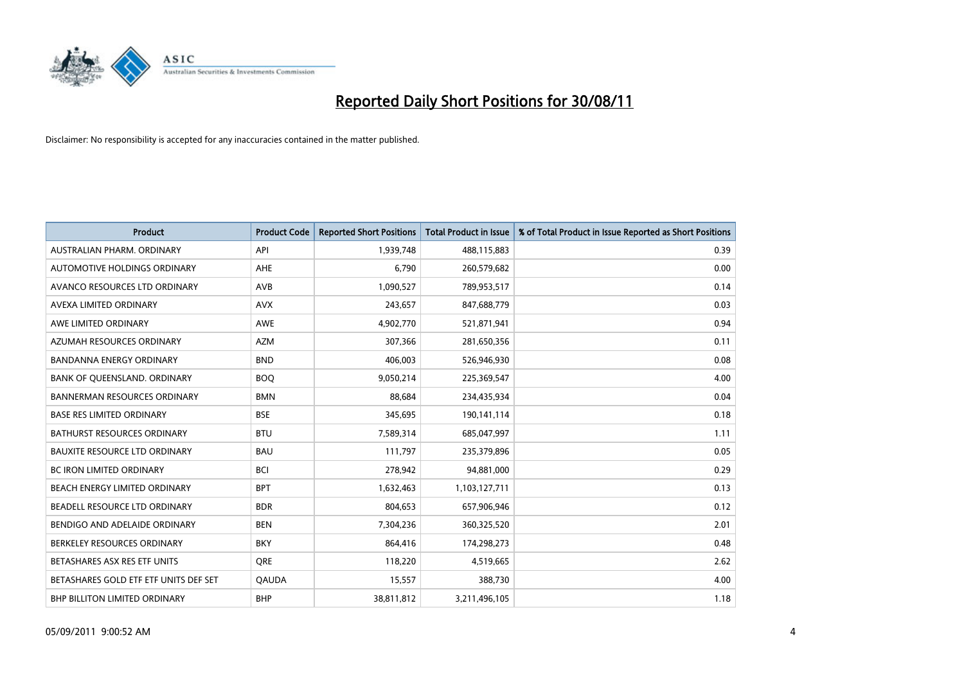

| Product                               | <b>Product Code</b> | <b>Reported Short Positions</b> | <b>Total Product in Issue</b> | % of Total Product in Issue Reported as Short Positions |
|---------------------------------------|---------------------|---------------------------------|-------------------------------|---------------------------------------------------------|
| AUSTRALIAN PHARM, ORDINARY            | API                 | 1,939,748                       | 488,115,883                   | 0.39                                                    |
| AUTOMOTIVE HOLDINGS ORDINARY          | <b>AHE</b>          | 6,790                           | 260,579,682                   | 0.00                                                    |
| AVANCO RESOURCES LTD ORDINARY         | AVB                 | 1,090,527                       | 789,953,517                   | 0.14                                                    |
| AVEXA LIMITED ORDINARY                | <b>AVX</b>          | 243,657                         | 847,688,779                   | 0.03                                                    |
| AWE LIMITED ORDINARY                  | AWE                 | 4,902,770                       | 521,871,941                   | 0.94                                                    |
| AZUMAH RESOURCES ORDINARY             | <b>AZM</b>          | 307,366                         | 281,650,356                   | 0.11                                                    |
| <b>BANDANNA ENERGY ORDINARY</b>       | <b>BND</b>          | 406,003                         | 526,946,930                   | 0.08                                                    |
| BANK OF QUEENSLAND. ORDINARY          | <b>BOQ</b>          | 9,050,214                       | 225,369,547                   | 4.00                                                    |
| <b>BANNERMAN RESOURCES ORDINARY</b>   | <b>BMN</b>          | 88,684                          | 234,435,934                   | 0.04                                                    |
| <b>BASE RES LIMITED ORDINARY</b>      | <b>BSE</b>          | 345,695                         | 190,141,114                   | 0.18                                                    |
| BATHURST RESOURCES ORDINARY           | <b>BTU</b>          | 7,589,314                       | 685,047,997                   | 1.11                                                    |
| <b>BAUXITE RESOURCE LTD ORDINARY</b>  | <b>BAU</b>          | 111,797                         | 235,379,896                   | 0.05                                                    |
| <b>BC IRON LIMITED ORDINARY</b>       | <b>BCI</b>          | 278,942                         | 94,881,000                    | 0.29                                                    |
| BEACH ENERGY LIMITED ORDINARY         | <b>BPT</b>          | 1,632,463                       | 1,103,127,711                 | 0.13                                                    |
| BEADELL RESOURCE LTD ORDINARY         | <b>BDR</b>          | 804,653                         | 657,906,946                   | 0.12                                                    |
| BENDIGO AND ADELAIDE ORDINARY         | <b>BEN</b>          | 7,304,236                       | 360,325,520                   | 2.01                                                    |
| BERKELEY RESOURCES ORDINARY           | <b>BKY</b>          | 864,416                         | 174,298,273                   | 0.48                                                    |
| BETASHARES ASX RES ETF UNITS          | <b>ORE</b>          | 118,220                         | 4,519,665                     | 2.62                                                    |
| BETASHARES GOLD ETF ETF UNITS DEF SET | <b>QAUDA</b>        | 15,557                          | 388,730                       | 4.00                                                    |
| BHP BILLITON LIMITED ORDINARY         | <b>BHP</b>          | 38,811,812                      | 3,211,496,105                 | 1.18                                                    |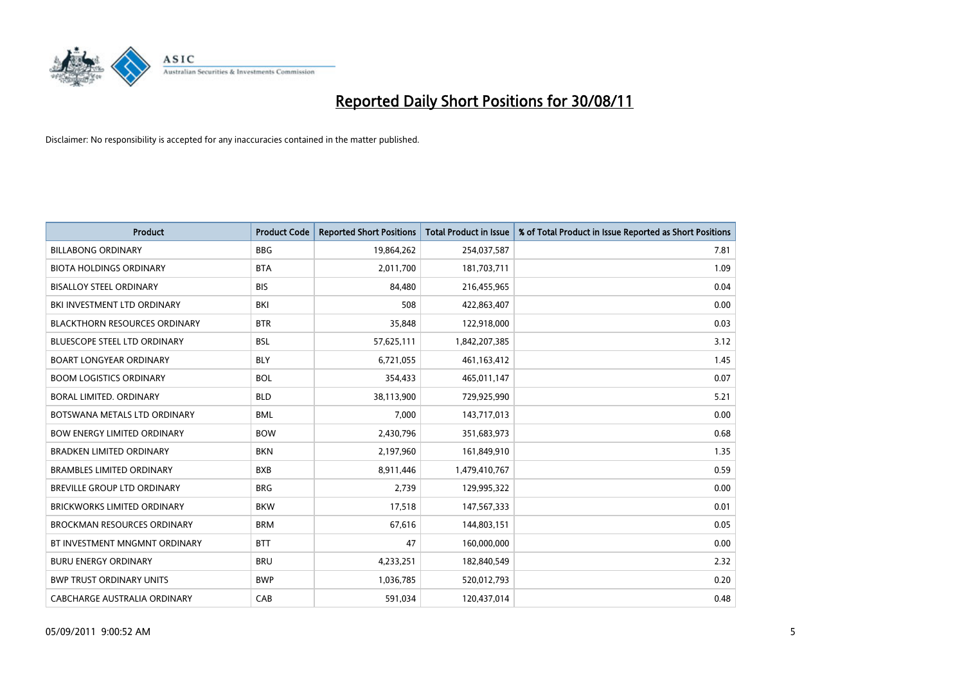

| <b>Product</b>                       | <b>Product Code</b> | <b>Reported Short Positions</b> | <b>Total Product in Issue</b> | % of Total Product in Issue Reported as Short Positions |
|--------------------------------------|---------------------|---------------------------------|-------------------------------|---------------------------------------------------------|
| <b>BILLABONG ORDINARY</b>            | <b>BBG</b>          | 19,864,262                      | 254,037,587                   | 7.81                                                    |
| <b>BIOTA HOLDINGS ORDINARY</b>       | <b>BTA</b>          | 2,011,700                       | 181,703,711                   | 1.09                                                    |
| <b>BISALLOY STEEL ORDINARY</b>       | <b>BIS</b>          | 84,480                          | 216,455,965                   | 0.04                                                    |
| BKI INVESTMENT LTD ORDINARY          | <b>BKI</b>          | 508                             | 422,863,407                   | 0.00                                                    |
| <b>BLACKTHORN RESOURCES ORDINARY</b> | <b>BTR</b>          | 35,848                          | 122,918,000                   | 0.03                                                    |
| <b>BLUESCOPE STEEL LTD ORDINARY</b>  | <b>BSL</b>          | 57,625,111                      | 1,842,207,385                 | 3.12                                                    |
| <b>BOART LONGYEAR ORDINARY</b>       | <b>BLY</b>          | 6,721,055                       | 461,163,412                   | 1.45                                                    |
| <b>BOOM LOGISTICS ORDINARY</b>       | <b>BOL</b>          | 354,433                         | 465,011,147                   | 0.07                                                    |
| BORAL LIMITED. ORDINARY              | <b>BLD</b>          | 38,113,900                      | 729,925,990                   | 5.21                                                    |
| BOTSWANA METALS LTD ORDINARY         | <b>BML</b>          | 7,000                           | 143,717,013                   | 0.00                                                    |
| <b>BOW ENERGY LIMITED ORDINARY</b>   | <b>BOW</b>          | 2,430,796                       | 351,683,973                   | 0.68                                                    |
| <b>BRADKEN LIMITED ORDINARY</b>      | <b>BKN</b>          | 2,197,960                       | 161,849,910                   | 1.35                                                    |
| <b>BRAMBLES LIMITED ORDINARY</b>     | <b>BXB</b>          | 8,911,446                       | 1,479,410,767                 | 0.59                                                    |
| BREVILLE GROUP LTD ORDINARY          | <b>BRG</b>          | 2,739                           | 129,995,322                   | 0.00                                                    |
| <b>BRICKWORKS LIMITED ORDINARY</b>   | <b>BKW</b>          | 17,518                          | 147,567,333                   | 0.01                                                    |
| <b>BROCKMAN RESOURCES ORDINARY</b>   | <b>BRM</b>          | 67,616                          | 144,803,151                   | 0.05                                                    |
| BT INVESTMENT MNGMNT ORDINARY        | <b>BTT</b>          | 47                              | 160,000,000                   | 0.00                                                    |
| <b>BURU ENERGY ORDINARY</b>          | <b>BRU</b>          | 4,233,251                       | 182,840,549                   | 2.32                                                    |
| <b>BWP TRUST ORDINARY UNITS</b>      | <b>BWP</b>          | 1,036,785                       | 520,012,793                   | 0.20                                                    |
| CABCHARGE AUSTRALIA ORDINARY         | CAB                 | 591,034                         | 120,437,014                   | 0.48                                                    |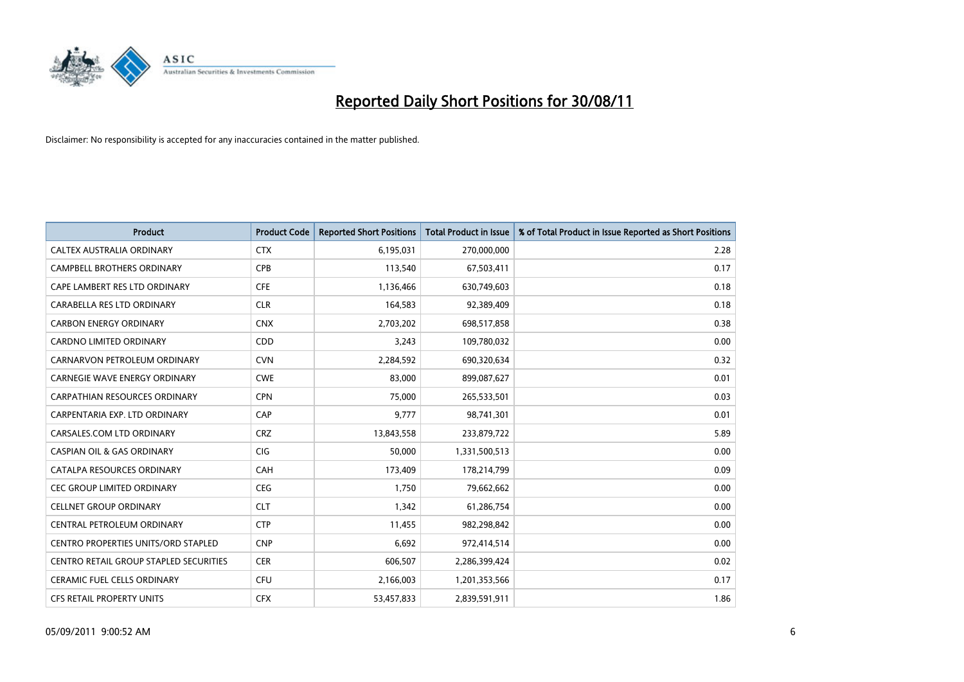

| <b>Product</b>                             | <b>Product Code</b> | <b>Reported Short Positions</b> | <b>Total Product in Issue</b> | % of Total Product in Issue Reported as Short Positions |
|--------------------------------------------|---------------------|---------------------------------|-------------------------------|---------------------------------------------------------|
| <b>CALTEX AUSTRALIA ORDINARY</b>           | <b>CTX</b>          | 6,195,031                       | 270,000,000                   | 2.28                                                    |
| CAMPBELL BROTHERS ORDINARY                 | <b>CPB</b>          | 113,540                         | 67,503,411                    | 0.17                                                    |
| CAPE LAMBERT RES LTD ORDINARY              | <b>CFE</b>          | 1,136,466                       | 630,749,603                   | 0.18                                                    |
| CARABELLA RES LTD ORDINARY                 | <b>CLR</b>          | 164,583                         | 92,389,409                    | 0.18                                                    |
| <b>CARBON ENERGY ORDINARY</b>              | <b>CNX</b>          | 2,703,202                       | 698,517,858                   | 0.38                                                    |
| <b>CARDNO LIMITED ORDINARY</b>             | CDD                 | 3,243                           | 109,780,032                   | 0.00                                                    |
| CARNARVON PETROLEUM ORDINARY               | <b>CVN</b>          | 2,284,592                       | 690,320,634                   | 0.32                                                    |
| <b>CARNEGIE WAVE ENERGY ORDINARY</b>       | <b>CWE</b>          | 83,000                          | 899,087,627                   | 0.01                                                    |
| CARPATHIAN RESOURCES ORDINARY              | <b>CPN</b>          | 75,000                          | 265,533,501                   | 0.03                                                    |
| CARPENTARIA EXP. LTD ORDINARY              | CAP                 | 9,777                           | 98,741,301                    | 0.01                                                    |
| CARSALES.COM LTD ORDINARY                  | <b>CRZ</b>          | 13,843,558                      | 233,879,722                   | 5.89                                                    |
| <b>CASPIAN OIL &amp; GAS ORDINARY</b>      | <b>CIG</b>          | 50,000                          | 1,331,500,513                 | 0.00                                                    |
| CATALPA RESOURCES ORDINARY                 | CAH                 | 173,409                         | 178,214,799                   | 0.09                                                    |
| <b>CEC GROUP LIMITED ORDINARY</b>          | <b>CEG</b>          | 1,750                           | 79,662,662                    | 0.00                                                    |
| <b>CELLNET GROUP ORDINARY</b>              | <b>CLT</b>          | 1,342                           | 61,286,754                    | 0.00                                                    |
| CENTRAL PETROLEUM ORDINARY                 | <b>CTP</b>          | 11,455                          | 982,298,842                   | 0.00                                                    |
| <b>CENTRO PROPERTIES UNITS/ORD STAPLED</b> | <b>CNP</b>          | 6,692                           | 972,414,514                   | 0.00                                                    |
| CENTRO RETAIL GROUP STAPLED SECURITIES     | <b>CER</b>          | 606,507                         | 2,286,399,424                 | 0.02                                                    |
| <b>CERAMIC FUEL CELLS ORDINARY</b>         | <b>CFU</b>          | 2,166,003                       | 1,201,353,566                 | 0.17                                                    |
| CFS RETAIL PROPERTY UNITS                  | <b>CFX</b>          | 53,457,833                      | 2,839,591,911                 | 1.86                                                    |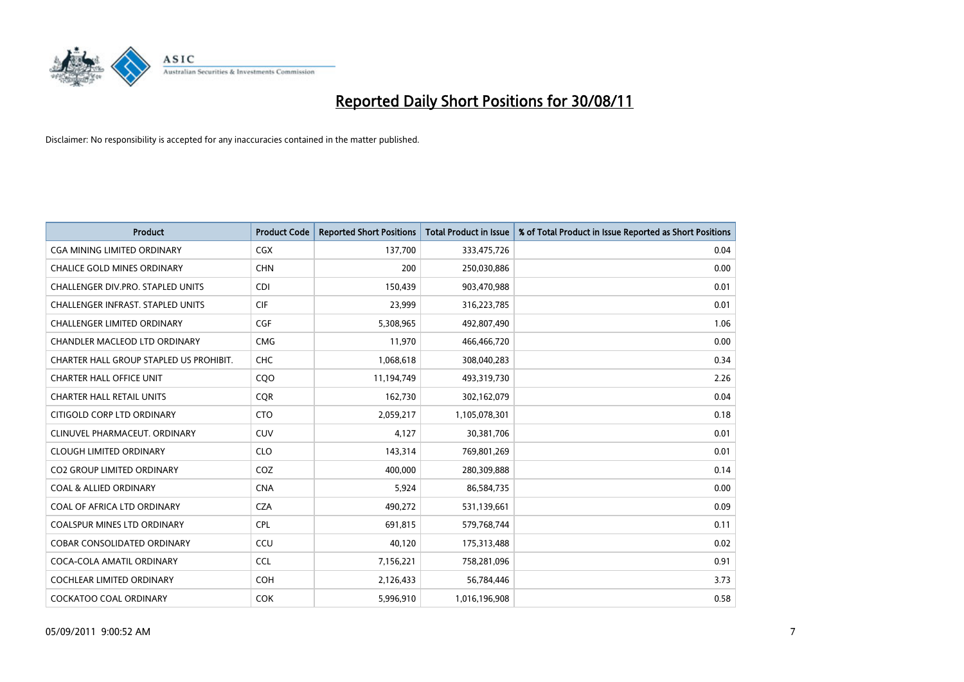

| <b>Product</b>                          | <b>Product Code</b> | <b>Reported Short Positions</b> | <b>Total Product in Issue</b> | % of Total Product in Issue Reported as Short Positions |
|-----------------------------------------|---------------------|---------------------------------|-------------------------------|---------------------------------------------------------|
| <b>CGA MINING LIMITED ORDINARY</b>      | <b>CGX</b>          | 137,700                         | 333,475,726                   | 0.04                                                    |
| <b>CHALICE GOLD MINES ORDINARY</b>      | <b>CHN</b>          | 200                             | 250,030,886                   | 0.00                                                    |
| CHALLENGER DIV.PRO. STAPLED UNITS       | <b>CDI</b>          | 150,439                         | 903,470,988                   | 0.01                                                    |
| CHALLENGER INFRAST. STAPLED UNITS       | <b>CIF</b>          | 23,999                          | 316,223,785                   | 0.01                                                    |
| <b>CHALLENGER LIMITED ORDINARY</b>      | <b>CGF</b>          | 5,308,965                       | 492,807,490                   | 1.06                                                    |
| CHANDLER MACLEOD LTD ORDINARY           | <b>CMG</b>          | 11,970                          | 466,466,720                   | 0.00                                                    |
| CHARTER HALL GROUP STAPLED US PROHIBIT. | <b>CHC</b>          | 1,068,618                       | 308,040,283                   | 0.34                                                    |
| <b>CHARTER HALL OFFICE UNIT</b>         | COO                 | 11,194,749                      | 493,319,730                   | 2.26                                                    |
| <b>CHARTER HALL RETAIL UNITS</b>        | <b>CQR</b>          | 162,730                         | 302,162,079                   | 0.04                                                    |
| CITIGOLD CORP LTD ORDINARY              | <b>CTO</b>          | 2,059,217                       | 1,105,078,301                 | 0.18                                                    |
| CLINUVEL PHARMACEUT. ORDINARY           | CUV                 | 4,127                           | 30,381,706                    | 0.01                                                    |
| <b>CLOUGH LIMITED ORDINARY</b>          | <b>CLO</b>          | 143,314                         | 769,801,269                   | 0.01                                                    |
| <b>CO2 GROUP LIMITED ORDINARY</b>       | COZ                 | 400.000                         | 280,309,888                   | 0.14                                                    |
| <b>COAL &amp; ALLIED ORDINARY</b>       | <b>CNA</b>          | 5,924                           | 86,584,735                    | 0.00                                                    |
| COAL OF AFRICA LTD ORDINARY             | <b>CZA</b>          | 490,272                         | 531,139,661                   | 0.09                                                    |
| <b>COALSPUR MINES LTD ORDINARY</b>      | <b>CPL</b>          | 691,815                         | 579,768,744                   | 0.11                                                    |
| <b>COBAR CONSOLIDATED ORDINARY</b>      | CCU                 | 40,120                          | 175,313,488                   | 0.02                                                    |
| COCA-COLA AMATIL ORDINARY               | <b>CCL</b>          | 7,156,221                       | 758,281,096                   | 0.91                                                    |
| <b>COCHLEAR LIMITED ORDINARY</b>        | <b>COH</b>          | 2,126,433                       | 56,784,446                    | 3.73                                                    |
| <b>COCKATOO COAL ORDINARY</b>           | <b>COK</b>          | 5,996,910                       | 1,016,196,908                 | 0.58                                                    |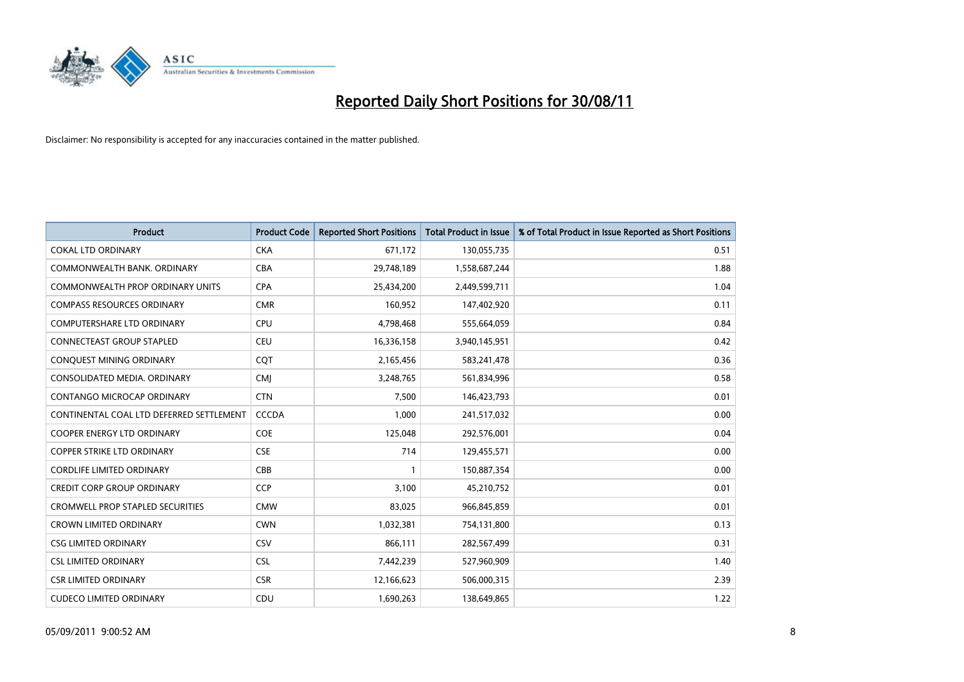

| Product                                  | <b>Product Code</b> | <b>Reported Short Positions</b> | <b>Total Product in Issue</b> | % of Total Product in Issue Reported as Short Positions |
|------------------------------------------|---------------------|---------------------------------|-------------------------------|---------------------------------------------------------|
| <b>COKAL LTD ORDINARY</b>                | <b>CKA</b>          | 671,172                         | 130,055,735                   | 0.51                                                    |
| COMMONWEALTH BANK, ORDINARY              | <b>CBA</b>          | 29,748,189                      | 1,558,687,244                 | 1.88                                                    |
| <b>COMMONWEALTH PROP ORDINARY UNITS</b>  | <b>CPA</b>          | 25,434,200                      | 2,449,599,711                 | 1.04                                                    |
| <b>COMPASS RESOURCES ORDINARY</b>        | <b>CMR</b>          | 160,952                         | 147,402,920                   | 0.11                                                    |
| <b>COMPUTERSHARE LTD ORDINARY</b>        | <b>CPU</b>          | 4,798,468                       | 555,664,059                   | 0.84                                                    |
| <b>CONNECTEAST GROUP STAPLED</b>         | <b>CEU</b>          | 16,336,158                      | 3,940,145,951                 | 0.42                                                    |
| CONQUEST MINING ORDINARY                 | CQT                 | 2,165,456                       | 583,241,478                   | 0.36                                                    |
| CONSOLIDATED MEDIA, ORDINARY             | <b>CMJ</b>          | 3,248,765                       | 561,834,996                   | 0.58                                                    |
| CONTANGO MICROCAP ORDINARY               | <b>CTN</b>          | 7,500                           | 146,423,793                   | 0.01                                                    |
| CONTINENTAL COAL LTD DEFERRED SETTLEMENT | <b>CCCDA</b>        | 1,000                           | 241,517,032                   | 0.00                                                    |
| <b>COOPER ENERGY LTD ORDINARY</b>        | <b>COE</b>          | 125,048                         | 292,576,001                   | 0.04                                                    |
| COPPER STRIKE LTD ORDINARY               | <b>CSE</b>          | 714                             | 129,455,571                   | 0.00                                                    |
| <b>CORDLIFE LIMITED ORDINARY</b>         | CBB                 |                                 | 150,887,354                   | 0.00                                                    |
| <b>CREDIT CORP GROUP ORDINARY</b>        | <b>CCP</b>          | 3,100                           | 45,210,752                    | 0.01                                                    |
| <b>CROMWELL PROP STAPLED SECURITIES</b>  | <b>CMW</b>          | 83,025                          | 966,845,859                   | 0.01                                                    |
| <b>CROWN LIMITED ORDINARY</b>            | <b>CWN</b>          | 1,032,381                       | 754,131,800                   | 0.13                                                    |
| <b>CSG LIMITED ORDINARY</b>              | <b>CSV</b>          | 866,111                         | 282,567,499                   | 0.31                                                    |
| <b>CSL LIMITED ORDINARY</b>              | <b>CSL</b>          | 7,442,239                       | 527,960,909                   | 1.40                                                    |
| <b>CSR LIMITED ORDINARY</b>              | <b>CSR</b>          | 12,166,623                      | 506,000,315                   | 2.39                                                    |
| <b>CUDECO LIMITED ORDINARY</b>           | CDU                 | 1,690,263                       | 138,649,865                   | 1.22                                                    |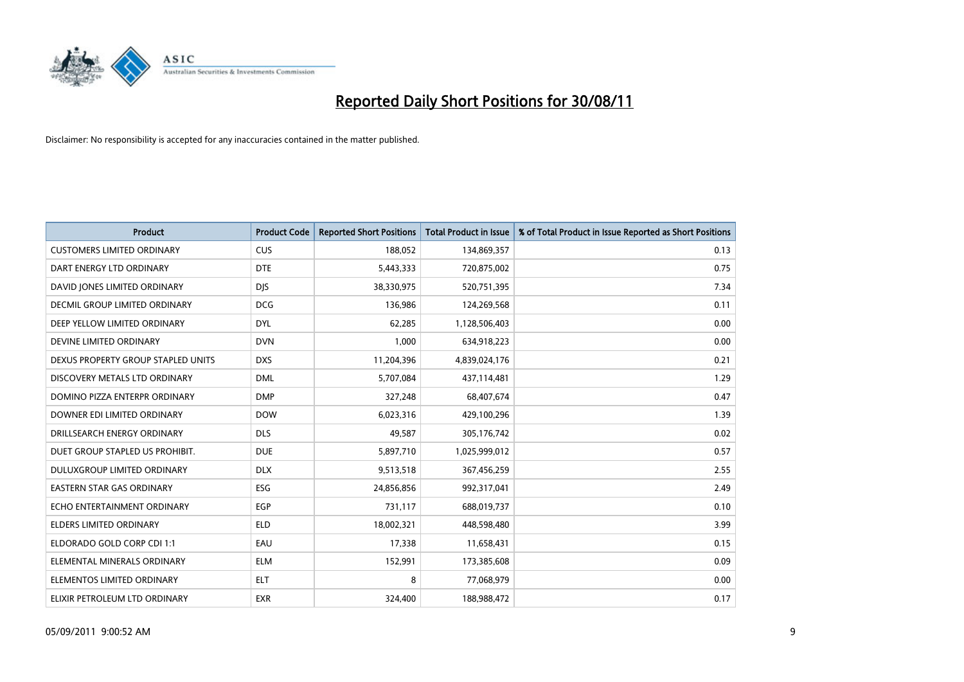

| <b>Product</b>                       | <b>Product Code</b> | <b>Reported Short Positions</b> | Total Product in Issue | % of Total Product in Issue Reported as Short Positions |
|--------------------------------------|---------------------|---------------------------------|------------------------|---------------------------------------------------------|
| <b>CUSTOMERS LIMITED ORDINARY</b>    | <b>CUS</b>          | 188,052                         | 134,869,357            | 0.13                                                    |
| DART ENERGY LTD ORDINARY             | <b>DTE</b>          | 5,443,333                       | 720,875,002            | 0.75                                                    |
| DAVID JONES LIMITED ORDINARY         | <b>DJS</b>          | 38,330,975                      | 520,751,395            | 7.34                                                    |
| <b>DECMIL GROUP LIMITED ORDINARY</b> | <b>DCG</b>          | 136,986                         | 124,269,568            | 0.11                                                    |
| DEEP YELLOW LIMITED ORDINARY         | <b>DYL</b>          | 62,285                          | 1,128,506,403          | 0.00                                                    |
| DEVINE LIMITED ORDINARY              | <b>DVN</b>          | 1,000                           | 634,918,223            | 0.00                                                    |
| DEXUS PROPERTY GROUP STAPLED UNITS   | <b>DXS</b>          | 11,204,396                      | 4,839,024,176          | 0.21                                                    |
| DISCOVERY METALS LTD ORDINARY        | <b>DML</b>          | 5,707,084                       | 437,114,481            | 1.29                                                    |
| DOMINO PIZZA ENTERPR ORDINARY        | <b>DMP</b>          | 327,248                         | 68,407,674             | 0.47                                                    |
| DOWNER EDI LIMITED ORDINARY          | <b>DOW</b>          | 6,023,316                       | 429,100,296            | 1.39                                                    |
| DRILLSEARCH ENERGY ORDINARY          | <b>DLS</b>          | 49,587                          | 305,176,742            | 0.02                                                    |
| DUET GROUP STAPLED US PROHIBIT.      | <b>DUE</b>          | 5,897,710                       | 1,025,999,012          | 0.57                                                    |
| DULUXGROUP LIMITED ORDINARY          | <b>DLX</b>          | 9,513,518                       | 367,456,259            | 2.55                                                    |
| <b>EASTERN STAR GAS ORDINARY</b>     | <b>ESG</b>          | 24,856,856                      | 992,317,041            | 2.49                                                    |
| ECHO ENTERTAINMENT ORDINARY          | EGP                 | 731,117                         | 688,019,737            | 0.10                                                    |
| <b>ELDERS LIMITED ORDINARY</b>       | <b>ELD</b>          | 18,002,321                      | 448,598,480            | 3.99                                                    |
| ELDORADO GOLD CORP CDI 1:1           | EAU                 | 17,338                          | 11,658,431             | 0.15                                                    |
| ELEMENTAL MINERALS ORDINARY          | <b>ELM</b>          | 152,991                         | 173,385,608            | 0.09                                                    |
| ELEMENTOS LIMITED ORDINARY           | <b>ELT</b>          | 8                               | 77,068,979             | 0.00                                                    |
| ELIXIR PETROLEUM LTD ORDINARY        | <b>EXR</b>          | 324,400                         | 188,988,472            | 0.17                                                    |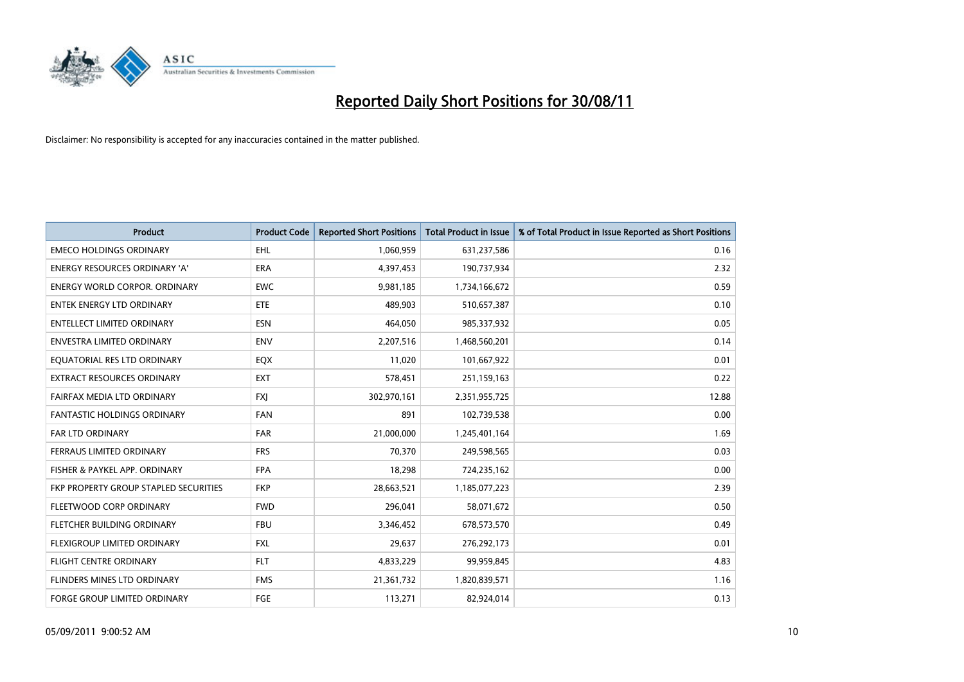

| Product                               | <b>Product Code</b> | <b>Reported Short Positions</b> | <b>Total Product in Issue</b> | % of Total Product in Issue Reported as Short Positions |
|---------------------------------------|---------------------|---------------------------------|-------------------------------|---------------------------------------------------------|
| <b>EMECO HOLDINGS ORDINARY</b>        | <b>EHL</b>          | 1,060,959                       | 631,237,586                   | 0.16                                                    |
| ENERGY RESOURCES ORDINARY 'A'         | <b>ERA</b>          | 4,397,453                       | 190,737,934                   | 2.32                                                    |
| <b>ENERGY WORLD CORPOR, ORDINARY</b>  | <b>EWC</b>          | 9,981,185                       | 1,734,166,672                 | 0.59                                                    |
| <b>ENTEK ENERGY LTD ORDINARY</b>      | <b>ETE</b>          | 489,903                         | 510,657,387                   | 0.10                                                    |
| <b>ENTELLECT LIMITED ORDINARY</b>     | <b>ESN</b>          | 464,050                         | 985,337,932                   | 0.05                                                    |
| <b>ENVESTRA LIMITED ORDINARY</b>      | <b>ENV</b>          | 2,207,516                       | 1,468,560,201                 | 0.14                                                    |
| EQUATORIAL RES LTD ORDINARY           | EQX                 | 11,020                          | 101,667,922                   | 0.01                                                    |
| EXTRACT RESOURCES ORDINARY            | <b>EXT</b>          | 578,451                         | 251,159,163                   | 0.22                                                    |
| FAIRFAX MEDIA LTD ORDINARY            | <b>FXI</b>          | 302,970,161                     | 2,351,955,725                 | 12.88                                                   |
| <b>FANTASTIC HOLDINGS ORDINARY</b>    | <b>FAN</b>          | 891                             | 102,739,538                   | 0.00                                                    |
| FAR LTD ORDINARY                      | <b>FAR</b>          | 21,000,000                      | 1,245,401,164                 | 1.69                                                    |
| FERRAUS LIMITED ORDINARY              | <b>FRS</b>          | 70,370                          | 249,598,565                   | 0.03                                                    |
| FISHER & PAYKEL APP. ORDINARY         | <b>FPA</b>          | 18,298                          | 724,235,162                   | 0.00                                                    |
| FKP PROPERTY GROUP STAPLED SECURITIES | <b>FKP</b>          | 28,663,521                      | 1,185,077,223                 | 2.39                                                    |
| FLEETWOOD CORP ORDINARY               | <b>FWD</b>          | 296,041                         | 58,071,672                    | 0.50                                                    |
| FLETCHER BUILDING ORDINARY            | <b>FBU</b>          | 3,346,452                       | 678,573,570                   | 0.49                                                    |
| FLEXIGROUP LIMITED ORDINARY           | <b>FXL</b>          | 29,637                          | 276,292,173                   | 0.01                                                    |
| FLIGHT CENTRE ORDINARY                | <b>FLT</b>          | 4,833,229                       | 99,959,845                    | 4.83                                                    |
| FLINDERS MINES LTD ORDINARY           | <b>FMS</b>          | 21,361,732                      | 1,820,839,571                 | 1.16                                                    |
| FORGE GROUP LIMITED ORDINARY          | FGE                 | 113,271                         | 82,924,014                    | 0.13                                                    |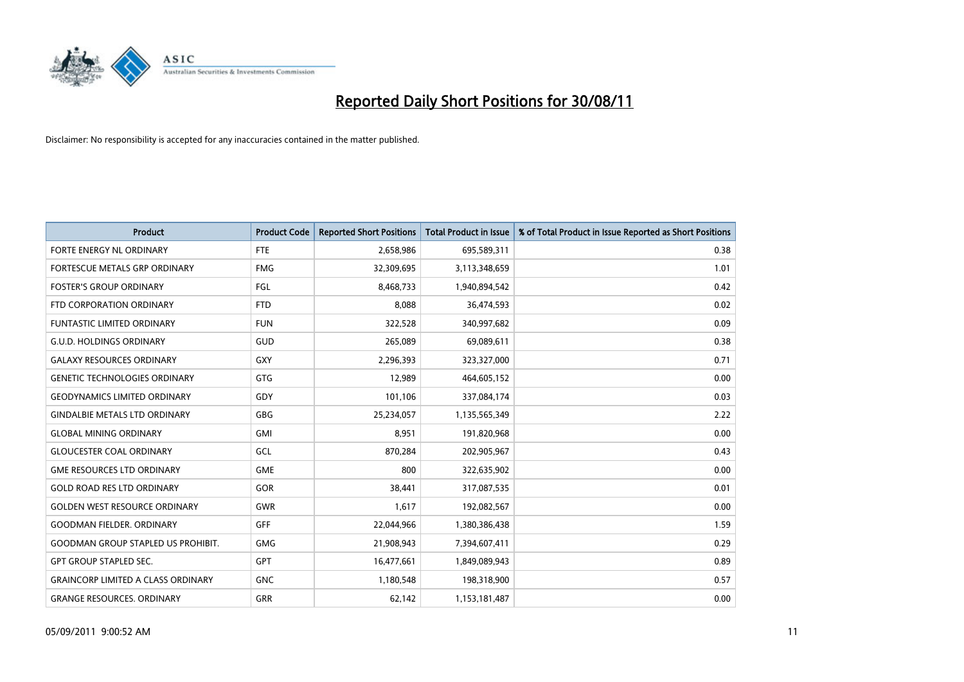

| Product                                   | <b>Product Code</b> | <b>Reported Short Positions</b> | <b>Total Product in Issue</b> | % of Total Product in Issue Reported as Short Positions |
|-------------------------------------------|---------------------|---------------------------------|-------------------------------|---------------------------------------------------------|
| FORTE ENERGY NL ORDINARY                  | <b>FTE</b>          | 2,658,986                       | 695,589,311                   | 0.38                                                    |
| FORTESCUE METALS GRP ORDINARY             | <b>FMG</b>          | 32,309,695                      | 3,113,348,659                 | 1.01                                                    |
| <b>FOSTER'S GROUP ORDINARY</b>            | FGL                 | 8,468,733                       | 1,940,894,542                 | 0.42                                                    |
| FTD CORPORATION ORDINARY                  | <b>FTD</b>          | 8,088                           | 36,474,593                    | 0.02                                                    |
| <b>FUNTASTIC LIMITED ORDINARY</b>         | <b>FUN</b>          | 322,528                         | 340,997,682                   | 0.09                                                    |
| <b>G.U.D. HOLDINGS ORDINARY</b>           | GUD                 | 265,089                         | 69,089,611                    | 0.38                                                    |
| <b>GALAXY RESOURCES ORDINARY</b>          | GXY                 | 2,296,393                       | 323,327,000                   | 0.71                                                    |
| <b>GENETIC TECHNOLOGIES ORDINARY</b>      | <b>GTG</b>          | 12,989                          | 464,605,152                   | 0.00                                                    |
| <b>GEODYNAMICS LIMITED ORDINARY</b>       | GDY                 | 101,106                         | 337,084,174                   | 0.03                                                    |
| <b>GINDALBIE METALS LTD ORDINARY</b>      | <b>GBG</b>          | 25,234,057                      | 1,135,565,349                 | 2.22                                                    |
| <b>GLOBAL MINING ORDINARY</b>             | GMI                 | 8,951                           | 191,820,968                   | 0.00                                                    |
| <b>GLOUCESTER COAL ORDINARY</b>           | GCL                 | 870,284                         | 202,905,967                   | 0.43                                                    |
| <b>GME RESOURCES LTD ORDINARY</b>         | <b>GME</b>          | 800                             | 322,635,902                   | 0.00                                                    |
| <b>GOLD ROAD RES LTD ORDINARY</b>         | GOR                 | 38,441                          | 317,087,535                   | 0.01                                                    |
| <b>GOLDEN WEST RESOURCE ORDINARY</b>      | <b>GWR</b>          | 1,617                           | 192,082,567                   | 0.00                                                    |
| <b>GOODMAN FIELDER, ORDINARY</b>          | GFF                 | 22,044,966                      | 1,380,386,438                 | 1.59                                                    |
| <b>GOODMAN GROUP STAPLED US PROHIBIT.</b> | <b>GMG</b>          | 21,908,943                      | 7,394,607,411                 | 0.29                                                    |
| <b>GPT GROUP STAPLED SEC.</b>             | <b>GPT</b>          | 16,477,661                      | 1,849,089,943                 | 0.89                                                    |
| <b>GRAINCORP LIMITED A CLASS ORDINARY</b> | <b>GNC</b>          | 1,180,548                       | 198,318,900                   | 0.57                                                    |
| <b>GRANGE RESOURCES. ORDINARY</b>         | GRR                 | 62,142                          | 1,153,181,487                 | 0.00                                                    |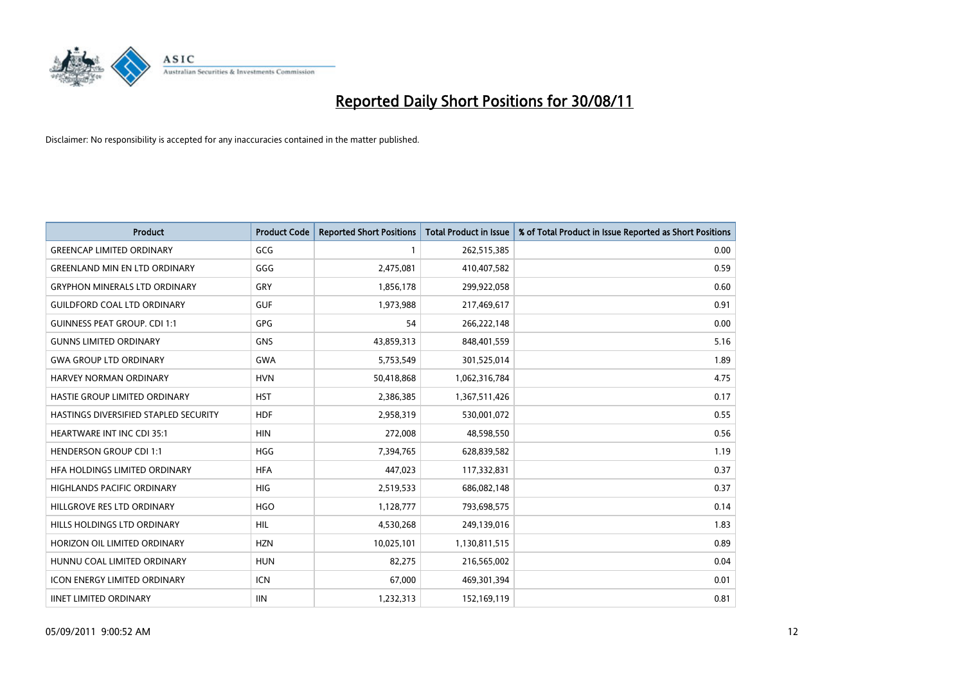

| <b>Product</b>                        | <b>Product Code</b> | <b>Reported Short Positions</b> | <b>Total Product in Issue</b> | % of Total Product in Issue Reported as Short Positions |
|---------------------------------------|---------------------|---------------------------------|-------------------------------|---------------------------------------------------------|
| <b>GREENCAP LIMITED ORDINARY</b>      | GCG                 |                                 | 262,515,385                   | 0.00                                                    |
| <b>GREENLAND MIN EN LTD ORDINARY</b>  | GGG                 | 2,475,081                       | 410,407,582                   | 0.59                                                    |
| <b>GRYPHON MINERALS LTD ORDINARY</b>  | GRY                 | 1,856,178                       | 299,922,058                   | 0.60                                                    |
| <b>GUILDFORD COAL LTD ORDINARY</b>    | <b>GUF</b>          | 1,973,988                       | 217,469,617                   | 0.91                                                    |
| <b>GUINNESS PEAT GROUP. CDI 1:1</b>   | <b>GPG</b>          | 54                              | 266,222,148                   | 0.00                                                    |
| <b>GUNNS LIMITED ORDINARY</b>         | <b>GNS</b>          | 43,859,313                      | 848,401,559                   | 5.16                                                    |
| <b>GWA GROUP LTD ORDINARY</b>         | GWA                 | 5,753,549                       | 301,525,014                   | 1.89                                                    |
| HARVEY NORMAN ORDINARY                | <b>HVN</b>          | 50,418,868                      | 1,062,316,784                 | 4.75                                                    |
| HASTIE GROUP LIMITED ORDINARY         | <b>HST</b>          | 2,386,385                       | 1,367,511,426                 | 0.17                                                    |
| HASTINGS DIVERSIFIED STAPLED SECURITY | <b>HDF</b>          | 2,958,319                       | 530,001,072                   | 0.55                                                    |
| <b>HEARTWARE INT INC CDI 35:1</b>     | <b>HIN</b>          | 272,008                         | 48,598,550                    | 0.56                                                    |
| <b>HENDERSON GROUP CDI 1:1</b>        | <b>HGG</b>          | 7,394,765                       | 628,839,582                   | 1.19                                                    |
| HFA HOLDINGS LIMITED ORDINARY         | <b>HFA</b>          | 447,023                         | 117,332,831                   | 0.37                                                    |
| <b>HIGHLANDS PACIFIC ORDINARY</b>     | <b>HIG</b>          | 2,519,533                       | 686,082,148                   | 0.37                                                    |
| HILLGROVE RES LTD ORDINARY            | <b>HGO</b>          | 1,128,777                       | 793,698,575                   | 0.14                                                    |
| HILLS HOLDINGS LTD ORDINARY           | <b>HIL</b>          | 4,530,268                       | 249,139,016                   | 1.83                                                    |
| HORIZON OIL LIMITED ORDINARY          | <b>HZN</b>          | 10,025,101                      | 1,130,811,515                 | 0.89                                                    |
| HUNNU COAL LIMITED ORDINARY           | <b>HUN</b>          | 82,275                          | 216,565,002                   | 0.04                                                    |
| <b>ICON ENERGY LIMITED ORDINARY</b>   | <b>ICN</b>          | 67,000                          | 469,301,394                   | 0.01                                                    |
| <b>IINET LIMITED ORDINARY</b>         | <b>IIN</b>          | 1,232,313                       | 152,169,119                   | 0.81                                                    |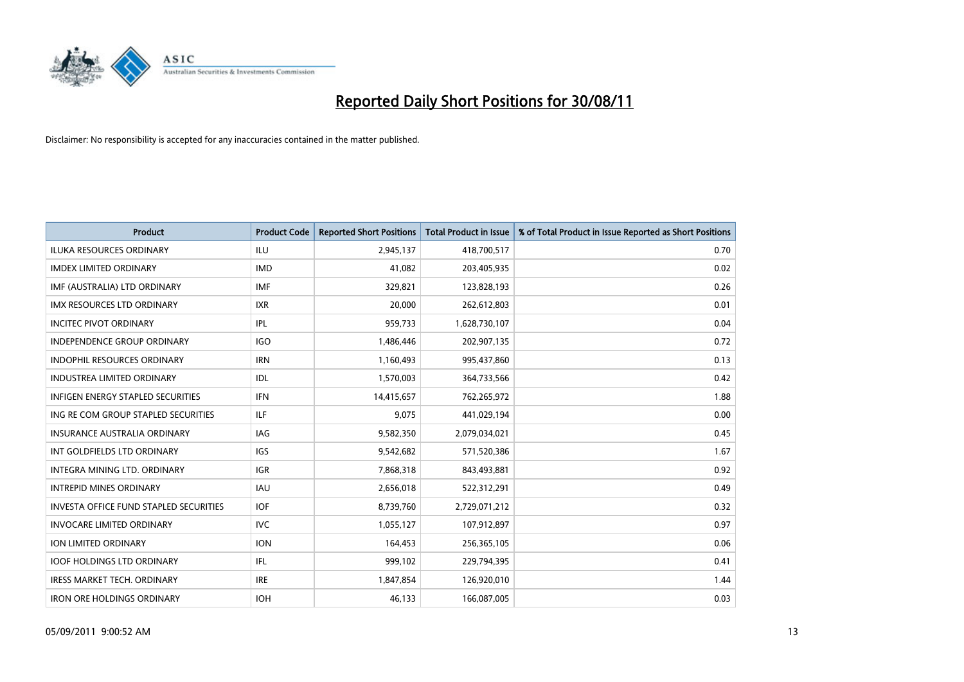

| <b>Product</b>                                | <b>Product Code</b> | <b>Reported Short Positions</b> | <b>Total Product in Issue</b> | % of Total Product in Issue Reported as Short Positions |
|-----------------------------------------------|---------------------|---------------------------------|-------------------------------|---------------------------------------------------------|
| <b>ILUKA RESOURCES ORDINARY</b>               | ILU                 | 2,945,137                       | 418,700,517                   | 0.70                                                    |
| <b>IMDEX LIMITED ORDINARY</b>                 | <b>IMD</b>          | 41,082                          | 203,405,935                   | 0.02                                                    |
| IMF (AUSTRALIA) LTD ORDINARY                  | <b>IMF</b>          | 329,821                         | 123,828,193                   | 0.26                                                    |
| IMX RESOURCES LTD ORDINARY                    | <b>IXR</b>          | 20,000                          | 262,612,803                   | 0.01                                                    |
| <b>INCITEC PIVOT ORDINARY</b>                 | <b>IPL</b>          | 959,733                         | 1,628,730,107                 | 0.04                                                    |
| <b>INDEPENDENCE GROUP ORDINARY</b>            | <b>IGO</b>          | 1,486,446                       | 202,907,135                   | 0.72                                                    |
| INDOPHIL RESOURCES ORDINARY                   | <b>IRN</b>          | 1,160,493                       | 995,437,860                   | 0.13                                                    |
| <b>INDUSTREA LIMITED ORDINARY</b>             | IDL                 | 1,570,003                       | 364,733,566                   | 0.42                                                    |
| INFIGEN ENERGY STAPLED SECURITIES             | <b>IFN</b>          | 14,415,657                      | 762,265,972                   | 1.88                                                    |
| ING RE COM GROUP STAPLED SECURITIES           | ILF                 | 9,075                           | 441,029,194                   | 0.00                                                    |
| <b>INSURANCE AUSTRALIA ORDINARY</b>           | IAG                 | 9,582,350                       | 2,079,034,021                 | 0.45                                                    |
| INT GOLDFIELDS LTD ORDINARY                   | <b>IGS</b>          | 9,542,682                       | 571,520,386                   | 1.67                                                    |
| <b>INTEGRA MINING LTD, ORDINARY</b>           | <b>IGR</b>          | 7,868,318                       | 843,493,881                   | 0.92                                                    |
| <b>INTREPID MINES ORDINARY</b>                | <b>IAU</b>          | 2,656,018                       | 522,312,291                   | 0.49                                                    |
| <b>INVESTA OFFICE FUND STAPLED SECURITIES</b> | <b>IOF</b>          | 8,739,760                       | 2,729,071,212                 | 0.32                                                    |
| <b>INVOCARE LIMITED ORDINARY</b>              | <b>IVC</b>          | 1,055,127                       | 107,912,897                   | 0.97                                                    |
| ION LIMITED ORDINARY                          | <b>ION</b>          | 164,453                         | 256,365,105                   | 0.06                                                    |
| <b>IOOF HOLDINGS LTD ORDINARY</b>             | <b>IFL</b>          | 999,102                         | 229,794,395                   | 0.41                                                    |
| IRESS MARKET TECH. ORDINARY                   | <b>IRE</b>          | 1,847,854                       | 126,920,010                   | 1.44                                                    |
| <b>IRON ORE HOLDINGS ORDINARY</b>             | <b>IOH</b>          | 46,133                          | 166,087,005                   | 0.03                                                    |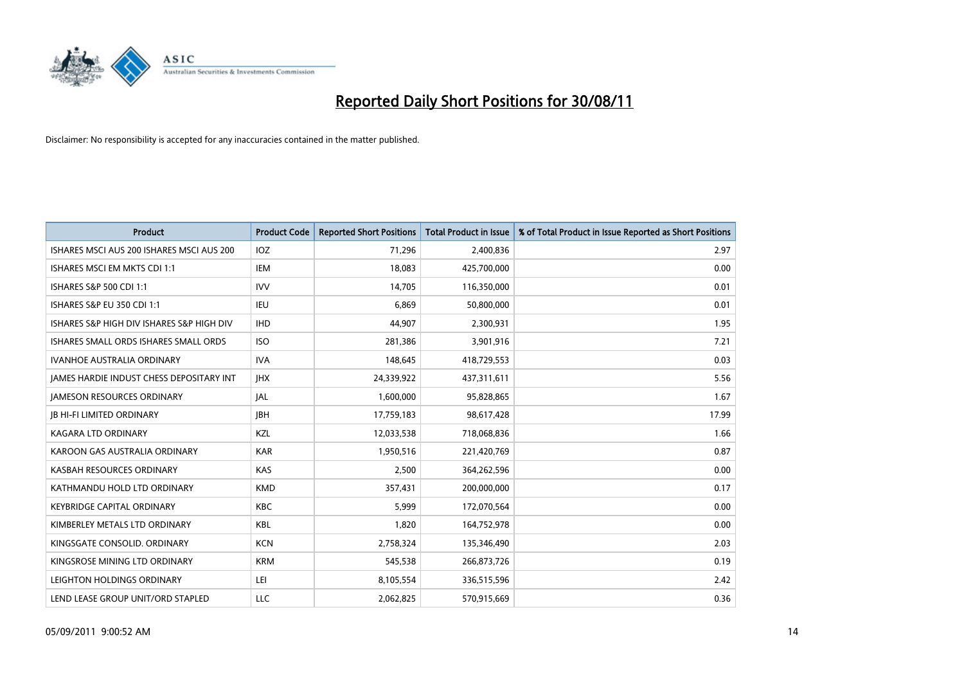

| <b>Product</b>                                  | <b>Product Code</b> | <b>Reported Short Positions</b> | Total Product in Issue | % of Total Product in Issue Reported as Short Positions |
|-------------------------------------------------|---------------------|---------------------------------|------------------------|---------------------------------------------------------|
| ISHARES MSCI AUS 200 ISHARES MSCI AUS 200       | <b>IOZ</b>          | 71,296                          | 2,400,836              | 2.97                                                    |
| ISHARES MSCI EM MKTS CDI 1:1                    | IEM                 | 18,083                          | 425,700,000            | 0.00                                                    |
| ISHARES S&P 500 CDI 1:1                         | <b>IVV</b>          | 14,705                          | 116,350,000            | 0.01                                                    |
| ISHARES S&P EU 350 CDI 1:1                      | <b>IEU</b>          | 6,869                           | 50,800,000             | 0.01                                                    |
| ISHARES S&P HIGH DIV ISHARES S&P HIGH DIV       | <b>IHD</b>          | 44,907                          | 2,300,931              | 1.95                                                    |
| ISHARES SMALL ORDS ISHARES SMALL ORDS           | <b>ISO</b>          | 281,386                         | 3,901,916              | 7.21                                                    |
| <b>IVANHOE AUSTRALIA ORDINARY</b>               | <b>IVA</b>          | 148,645                         | 418,729,553            | 0.03                                                    |
| <b>JAMES HARDIE INDUST CHESS DEPOSITARY INT</b> | <b>IHX</b>          | 24,339,922                      | 437,311,611            | 5.56                                                    |
| <b>JAMESON RESOURCES ORDINARY</b>               | <b>JAL</b>          | 1,600,000                       | 95,828,865             | 1.67                                                    |
| <b>IB HI-FI LIMITED ORDINARY</b>                | <b>IBH</b>          | 17,759,183                      | 98,617,428             | 17.99                                                   |
| KAGARA LTD ORDINARY                             | KZL                 | 12,033,538                      | 718,068,836            | 1.66                                                    |
| KAROON GAS AUSTRALIA ORDINARY                   | <b>KAR</b>          | 1,950,516                       | 221,420,769            | 0.87                                                    |
| KASBAH RESOURCES ORDINARY                       | <b>KAS</b>          | 2,500                           | 364,262,596            | 0.00                                                    |
| KATHMANDU HOLD LTD ORDINARY                     | <b>KMD</b>          | 357,431                         | 200,000,000            | 0.17                                                    |
| KEYBRIDGE CAPITAL ORDINARY                      | <b>KBC</b>          | 5,999                           | 172,070,564            | 0.00                                                    |
| KIMBERLEY METALS LTD ORDINARY                   | <b>KBL</b>          | 1,820                           | 164,752,978            | 0.00                                                    |
| KINGSGATE CONSOLID. ORDINARY                    | <b>KCN</b>          | 2,758,324                       | 135,346,490            | 2.03                                                    |
| KINGSROSE MINING LTD ORDINARY                   | <b>KRM</b>          | 545,538                         | 266,873,726            | 0.19                                                    |
| LEIGHTON HOLDINGS ORDINARY                      | LEI                 | 8,105,554                       | 336,515,596            | 2.42                                                    |
| LEND LEASE GROUP UNIT/ORD STAPLED               | <b>LLC</b>          | 2,062,825                       | 570,915,669            | 0.36                                                    |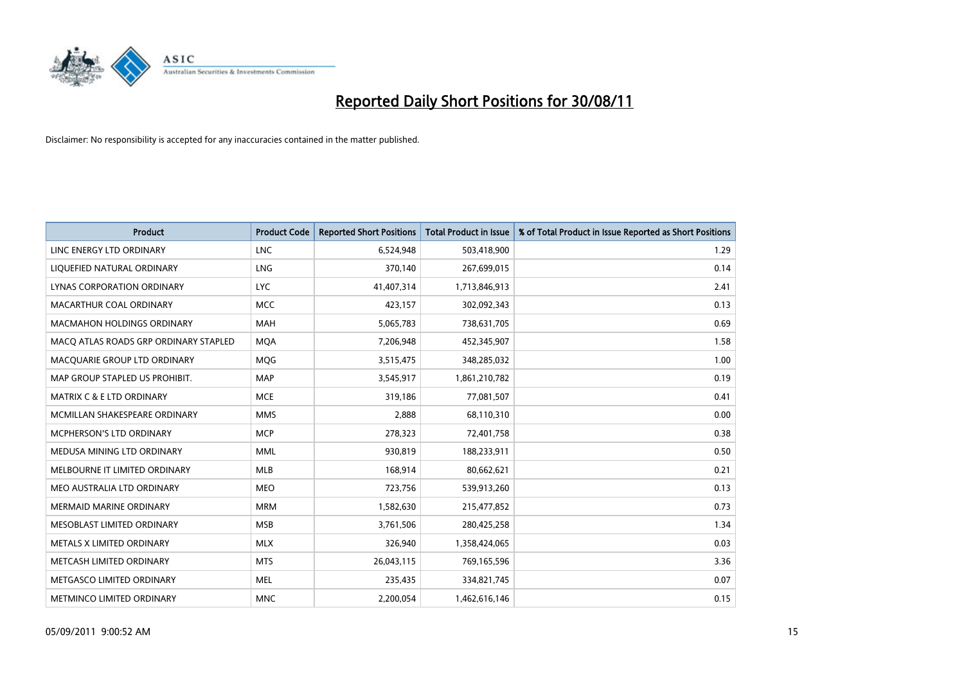

| <b>Product</b>                        | <b>Product Code</b> | <b>Reported Short Positions</b> | <b>Total Product in Issue</b> | % of Total Product in Issue Reported as Short Positions |
|---------------------------------------|---------------------|---------------------------------|-------------------------------|---------------------------------------------------------|
| LINC ENERGY LTD ORDINARY              | <b>LNC</b>          | 6,524,948                       | 503,418,900                   | 1.29                                                    |
| LIQUEFIED NATURAL ORDINARY            | LNG                 | 370,140                         | 267,699,015                   | 0.14                                                    |
| LYNAS CORPORATION ORDINARY            | <b>LYC</b>          | 41,407,314                      | 1,713,846,913                 | 2.41                                                    |
| MACARTHUR COAL ORDINARY               | <b>MCC</b>          | 423,157                         | 302,092,343                   | 0.13                                                    |
| <b>MACMAHON HOLDINGS ORDINARY</b>     | MAH                 | 5,065,783                       | 738,631,705                   | 0.69                                                    |
| MACQ ATLAS ROADS GRP ORDINARY STAPLED | <b>MOA</b>          | 7,206,948                       | 452,345,907                   | 1.58                                                    |
| MACQUARIE GROUP LTD ORDINARY          | <b>MQG</b>          | 3,515,475                       | 348,285,032                   | 1.00                                                    |
| MAP GROUP STAPLED US PROHIBIT.        | <b>MAP</b>          | 3,545,917                       | 1,861,210,782                 | 0.19                                                    |
| <b>MATRIX C &amp; E LTD ORDINARY</b>  | <b>MCE</b>          | 319,186                         | 77,081,507                    | 0.41                                                    |
| MCMILLAN SHAKESPEARE ORDINARY         | <b>MMS</b>          | 2,888                           | 68,110,310                    | 0.00                                                    |
| <b>MCPHERSON'S LTD ORDINARY</b>       | <b>MCP</b>          | 278,323                         | 72,401,758                    | 0.38                                                    |
| MEDUSA MINING LTD ORDINARY            | <b>MML</b>          | 930,819                         | 188,233,911                   | 0.50                                                    |
| MELBOURNE IT LIMITED ORDINARY         | <b>MLB</b>          | 168,914                         | 80,662,621                    | 0.21                                                    |
| MEO AUSTRALIA LTD ORDINARY            | <b>MEO</b>          | 723,756                         | 539,913,260                   | 0.13                                                    |
| <b>MERMAID MARINE ORDINARY</b>        | <b>MRM</b>          | 1,582,630                       | 215,477,852                   | 0.73                                                    |
| MESOBLAST LIMITED ORDINARY            | <b>MSB</b>          | 3,761,506                       | 280,425,258                   | 1.34                                                    |
| METALS X LIMITED ORDINARY             | <b>MLX</b>          | 326,940                         | 1,358,424,065                 | 0.03                                                    |
| METCASH LIMITED ORDINARY              | <b>MTS</b>          | 26,043,115                      | 769,165,596                   | 3.36                                                    |
| METGASCO LIMITED ORDINARY             | <b>MEL</b>          | 235,435                         | 334,821,745                   | 0.07                                                    |
| METMINCO LIMITED ORDINARY             | <b>MNC</b>          | 2,200,054                       | 1,462,616,146                 | 0.15                                                    |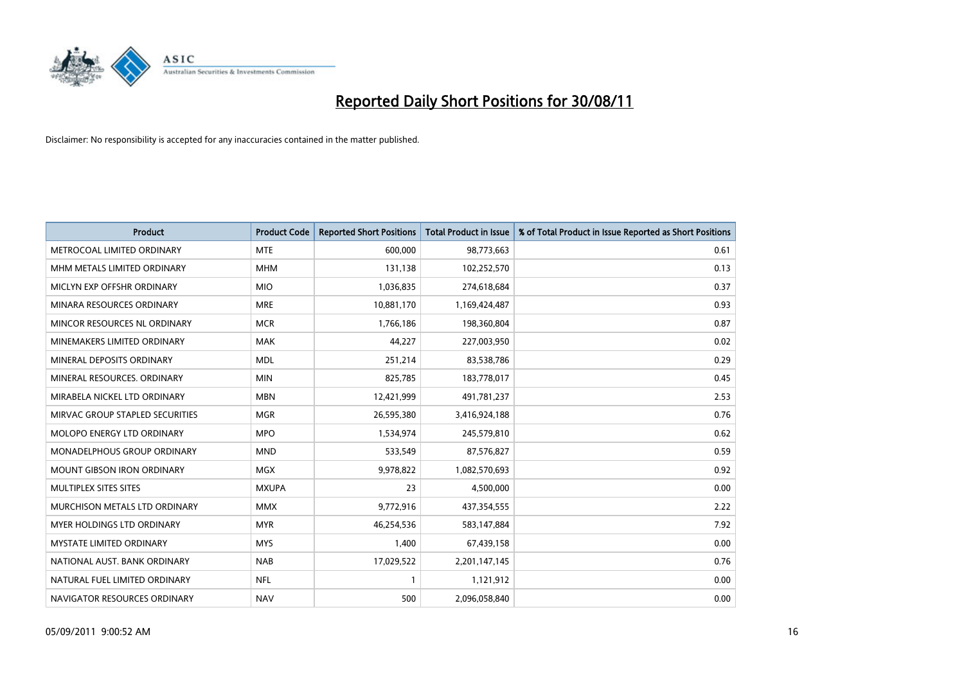

| <b>Product</b>                     | <b>Product Code</b> | <b>Reported Short Positions</b> | <b>Total Product in Issue</b> | % of Total Product in Issue Reported as Short Positions |
|------------------------------------|---------------------|---------------------------------|-------------------------------|---------------------------------------------------------|
| METROCOAL LIMITED ORDINARY         | <b>MTE</b>          | 600,000                         | 98,773,663                    | 0.61                                                    |
| MHM METALS LIMITED ORDINARY        | <b>MHM</b>          | 131,138                         | 102,252,570                   | 0.13                                                    |
| MICLYN EXP OFFSHR ORDINARY         | <b>MIO</b>          | 1,036,835                       | 274,618,684                   | 0.37                                                    |
| MINARA RESOURCES ORDINARY          | <b>MRE</b>          | 10,881,170                      | 1,169,424,487                 | 0.93                                                    |
| MINCOR RESOURCES NL ORDINARY       | <b>MCR</b>          | 1,766,186                       | 198,360,804                   | 0.87                                                    |
| MINEMAKERS LIMITED ORDINARY        | <b>MAK</b>          | 44,227                          | 227,003,950                   | 0.02                                                    |
| MINERAL DEPOSITS ORDINARY          | <b>MDL</b>          | 251,214                         | 83,538,786                    | 0.29                                                    |
| MINERAL RESOURCES, ORDINARY        | <b>MIN</b>          | 825,785                         | 183,778,017                   | 0.45                                                    |
| MIRABELA NICKEL LTD ORDINARY       | <b>MBN</b>          | 12,421,999                      | 491,781,237                   | 2.53                                                    |
| MIRVAC GROUP STAPLED SECURITIES    | <b>MGR</b>          | 26,595,380                      | 3,416,924,188                 | 0.76                                                    |
| MOLOPO ENERGY LTD ORDINARY         | <b>MPO</b>          | 1,534,974                       | 245,579,810                   | 0.62                                                    |
| <b>MONADELPHOUS GROUP ORDINARY</b> | <b>MND</b>          | 533,549                         | 87,576,827                    | 0.59                                                    |
| <b>MOUNT GIBSON IRON ORDINARY</b>  | <b>MGX</b>          | 9,978,822                       | 1,082,570,693                 | 0.92                                                    |
| MULTIPLEX SITES SITES              | <b>MXUPA</b>        | 23                              | 4,500,000                     | 0.00                                                    |
| MURCHISON METALS LTD ORDINARY      | <b>MMX</b>          | 9,772,916                       | 437,354,555                   | 2.22                                                    |
| <b>MYER HOLDINGS LTD ORDINARY</b>  | <b>MYR</b>          | 46,254,536                      | 583,147,884                   | 7.92                                                    |
| <b>MYSTATE LIMITED ORDINARY</b>    | <b>MYS</b>          | 1,400                           | 67,439,158                    | 0.00                                                    |
| NATIONAL AUST. BANK ORDINARY       | <b>NAB</b>          | 17,029,522                      | 2,201,147,145                 | 0.76                                                    |
| NATURAL FUEL LIMITED ORDINARY      | <b>NFL</b>          |                                 | 1,121,912                     | 0.00                                                    |
| NAVIGATOR RESOURCES ORDINARY       | <b>NAV</b>          | 500                             | 2,096,058,840                 | 0.00                                                    |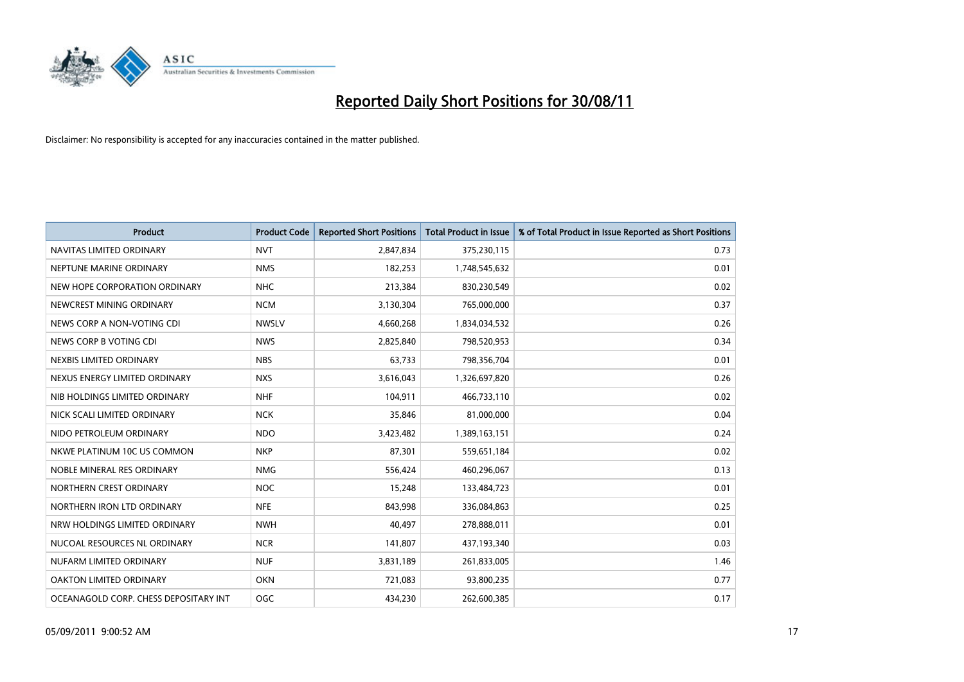

| <b>Product</b>                        | <b>Product Code</b> | <b>Reported Short Positions</b> | Total Product in Issue | % of Total Product in Issue Reported as Short Positions |
|---------------------------------------|---------------------|---------------------------------|------------------------|---------------------------------------------------------|
| NAVITAS LIMITED ORDINARY              | <b>NVT</b>          | 2,847,834                       | 375,230,115            | 0.73                                                    |
| NEPTUNE MARINE ORDINARY               | <b>NMS</b>          | 182,253                         | 1,748,545,632          | 0.01                                                    |
| NEW HOPE CORPORATION ORDINARY         | <b>NHC</b>          | 213,384                         | 830,230,549            | 0.02                                                    |
| NEWCREST MINING ORDINARY              | <b>NCM</b>          | 3,130,304                       | 765,000,000            | 0.37                                                    |
| NEWS CORP A NON-VOTING CDI            | <b>NWSLV</b>        | 4,660,268                       | 1,834,034,532          | 0.26                                                    |
| NEWS CORP B VOTING CDI                | <b>NWS</b>          | 2,825,840                       | 798,520,953            | 0.34                                                    |
| NEXBIS LIMITED ORDINARY               | <b>NBS</b>          | 63,733                          | 798,356,704            | 0.01                                                    |
| NEXUS ENERGY LIMITED ORDINARY         | <b>NXS</b>          | 3,616,043                       | 1,326,697,820          | 0.26                                                    |
| NIB HOLDINGS LIMITED ORDINARY         | <b>NHF</b>          | 104,911                         | 466,733,110            | 0.02                                                    |
| NICK SCALI LIMITED ORDINARY           | <b>NCK</b>          | 35,846                          | 81,000,000             | 0.04                                                    |
| NIDO PETROLEUM ORDINARY               | <b>NDO</b>          | 3,423,482                       | 1,389,163,151          | 0.24                                                    |
| NKWE PLATINUM 10C US COMMON           | <b>NKP</b>          | 87,301                          | 559,651,184            | 0.02                                                    |
| NOBLE MINERAL RES ORDINARY            | <b>NMG</b>          | 556.424                         | 460,296,067            | 0.13                                                    |
| NORTHERN CREST ORDINARY               | <b>NOC</b>          | 15,248                          | 133,484,723            | 0.01                                                    |
| NORTHERN IRON LTD ORDINARY            | <b>NFE</b>          | 843,998                         | 336,084,863            | 0.25                                                    |
| NRW HOLDINGS LIMITED ORDINARY         | <b>NWH</b>          | 40.497                          | 278,888,011            | 0.01                                                    |
| NUCOAL RESOURCES NL ORDINARY          | <b>NCR</b>          | 141,807                         | 437,193,340            | 0.03                                                    |
| NUFARM LIMITED ORDINARY               | <b>NUF</b>          | 3,831,189                       | 261,833,005            | 1.46                                                    |
| OAKTON LIMITED ORDINARY               | <b>OKN</b>          | 721,083                         | 93,800,235             | 0.77                                                    |
| OCEANAGOLD CORP. CHESS DEPOSITARY INT | <b>OGC</b>          | 434.230                         | 262,600,385            | 0.17                                                    |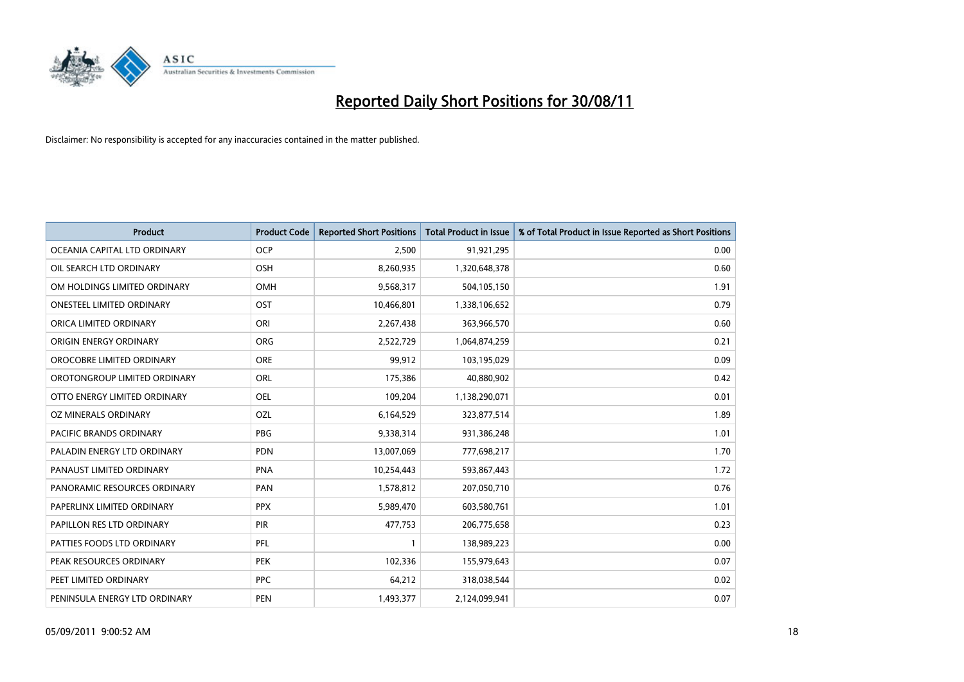

| <b>Product</b>                 | <b>Product Code</b> | <b>Reported Short Positions</b> | <b>Total Product in Issue</b> | % of Total Product in Issue Reported as Short Positions |
|--------------------------------|---------------------|---------------------------------|-------------------------------|---------------------------------------------------------|
| OCEANIA CAPITAL LTD ORDINARY   | <b>OCP</b>          | 2,500                           | 91,921,295                    | 0.00                                                    |
| OIL SEARCH LTD ORDINARY        | OSH                 | 8,260,935                       | 1,320,648,378                 | 0.60                                                    |
| OM HOLDINGS LIMITED ORDINARY   | <b>OMH</b>          | 9,568,317                       | 504,105,150                   | 1.91                                                    |
| ONESTEEL LIMITED ORDINARY      | OST                 | 10,466,801                      | 1,338,106,652                 | 0.79                                                    |
| ORICA LIMITED ORDINARY         | ORI                 | 2,267,438                       | 363,966,570                   | 0.60                                                    |
| ORIGIN ENERGY ORDINARY         | <b>ORG</b>          | 2,522,729                       | 1,064,874,259                 | 0.21                                                    |
| OROCOBRE LIMITED ORDINARY      | <b>ORE</b>          | 99,912                          | 103,195,029                   | 0.09                                                    |
| OROTONGROUP LIMITED ORDINARY   | <b>ORL</b>          | 175,386                         | 40,880,902                    | 0.42                                                    |
| OTTO ENERGY LIMITED ORDINARY   | OEL                 | 109,204                         | 1,138,290,071                 | 0.01                                                    |
| OZ MINERALS ORDINARY           | OZL                 | 6,164,529                       | 323,877,514                   | 1.89                                                    |
| <b>PACIFIC BRANDS ORDINARY</b> | <b>PBG</b>          | 9,338,314                       | 931,386,248                   | 1.01                                                    |
| PALADIN ENERGY LTD ORDINARY    | <b>PDN</b>          | 13,007,069                      | 777,698,217                   | 1.70                                                    |
| PANAUST LIMITED ORDINARY       | <b>PNA</b>          | 10,254,443                      | 593,867,443                   | 1.72                                                    |
| PANORAMIC RESOURCES ORDINARY   | PAN                 | 1,578,812                       | 207,050,710                   | 0.76                                                    |
| PAPERLINX LIMITED ORDINARY     | <b>PPX</b>          | 5,989,470                       | 603,580,761                   | 1.01                                                    |
| PAPILLON RES LTD ORDINARY      | PIR                 | 477,753                         | 206,775,658                   | 0.23                                                    |
| PATTIES FOODS LTD ORDINARY     | PFL                 |                                 | 138,989,223                   | 0.00                                                    |
| PEAK RESOURCES ORDINARY        | <b>PEK</b>          | 102,336                         | 155,979,643                   | 0.07                                                    |
| PEET LIMITED ORDINARY          | <b>PPC</b>          | 64,212                          | 318,038,544                   | 0.02                                                    |
| PENINSULA ENERGY LTD ORDINARY  | PEN                 | 1,493,377                       | 2,124,099,941                 | 0.07                                                    |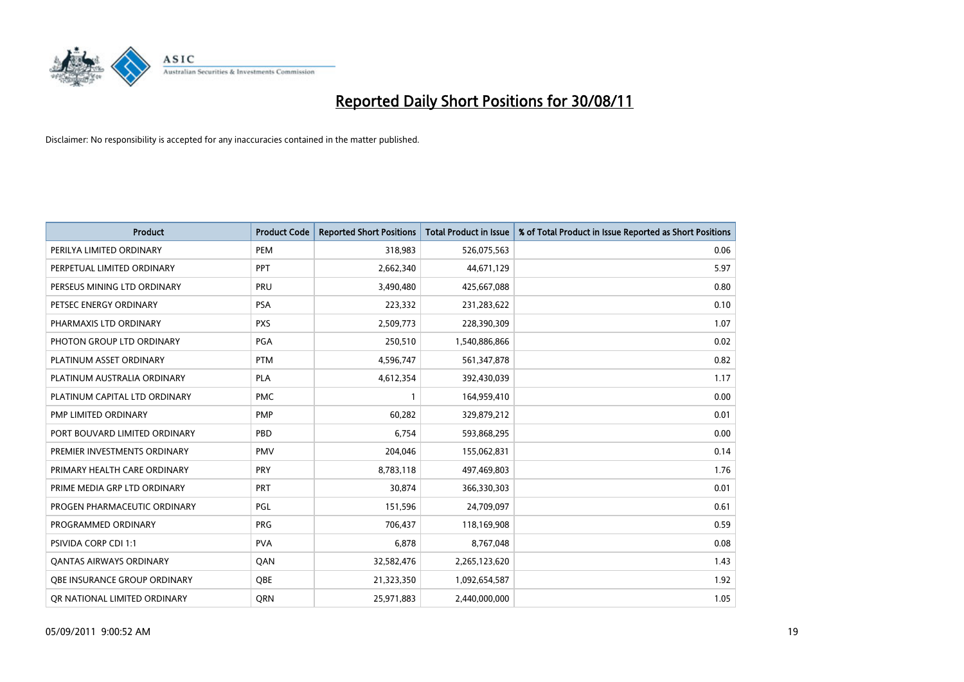

| <b>Product</b>                 | <b>Product Code</b> | <b>Reported Short Positions</b> | <b>Total Product in Issue</b> | % of Total Product in Issue Reported as Short Positions |
|--------------------------------|---------------------|---------------------------------|-------------------------------|---------------------------------------------------------|
| PERILYA LIMITED ORDINARY       | PEM                 | 318,983                         | 526,075,563                   | 0.06                                                    |
| PERPETUAL LIMITED ORDINARY     | PPT                 | 2,662,340                       | 44,671,129                    | 5.97                                                    |
| PERSEUS MINING LTD ORDINARY    | <b>PRU</b>          | 3,490,480                       | 425,667,088                   | 0.80                                                    |
| PETSEC ENERGY ORDINARY         | <b>PSA</b>          | 223,332                         | 231,283,622                   | 0.10                                                    |
| PHARMAXIS LTD ORDINARY         | <b>PXS</b>          | 2,509,773                       | 228,390,309                   | 1.07                                                    |
| PHOTON GROUP LTD ORDINARY      | PGA                 | 250,510                         | 1,540,886,866                 | 0.02                                                    |
| PLATINUM ASSET ORDINARY        | <b>PTM</b>          | 4,596,747                       | 561,347,878                   | 0.82                                                    |
| PLATINUM AUSTRALIA ORDINARY    | <b>PLA</b>          | 4,612,354                       | 392,430,039                   | 1.17                                                    |
| PLATINUM CAPITAL LTD ORDINARY  | <b>PMC</b>          | 1                               | 164,959,410                   | 0.00                                                    |
| PMP LIMITED ORDINARY           | <b>PMP</b>          | 60,282                          | 329,879,212                   | 0.01                                                    |
| PORT BOUVARD LIMITED ORDINARY  | PBD                 | 6,754                           | 593,868,295                   | 0.00                                                    |
| PREMIER INVESTMENTS ORDINARY   | <b>PMV</b>          | 204,046                         | 155,062,831                   | 0.14                                                    |
| PRIMARY HEALTH CARE ORDINARY   | <b>PRY</b>          | 8,783,118                       | 497,469,803                   | 1.76                                                    |
| PRIME MEDIA GRP LTD ORDINARY   | PRT                 | 30,874                          | 366,330,303                   | 0.01                                                    |
| PROGEN PHARMACEUTIC ORDINARY   | PGL                 | 151,596                         | 24,709,097                    | 0.61                                                    |
| PROGRAMMED ORDINARY            | <b>PRG</b>          | 706,437                         | 118,169,908                   | 0.59                                                    |
| <b>PSIVIDA CORP CDI 1:1</b>    | <b>PVA</b>          | 6,878                           | 8,767,048                     | 0.08                                                    |
| <b>QANTAS AIRWAYS ORDINARY</b> | QAN                 | 32,582,476                      | 2,265,123,620                 | 1.43                                                    |
| OBE INSURANCE GROUP ORDINARY   | OBE                 | 21,323,350                      | 1,092,654,587                 | 1.92                                                    |
| OR NATIONAL LIMITED ORDINARY   | <b>ORN</b>          | 25,971,883                      | 2,440,000,000                 | 1.05                                                    |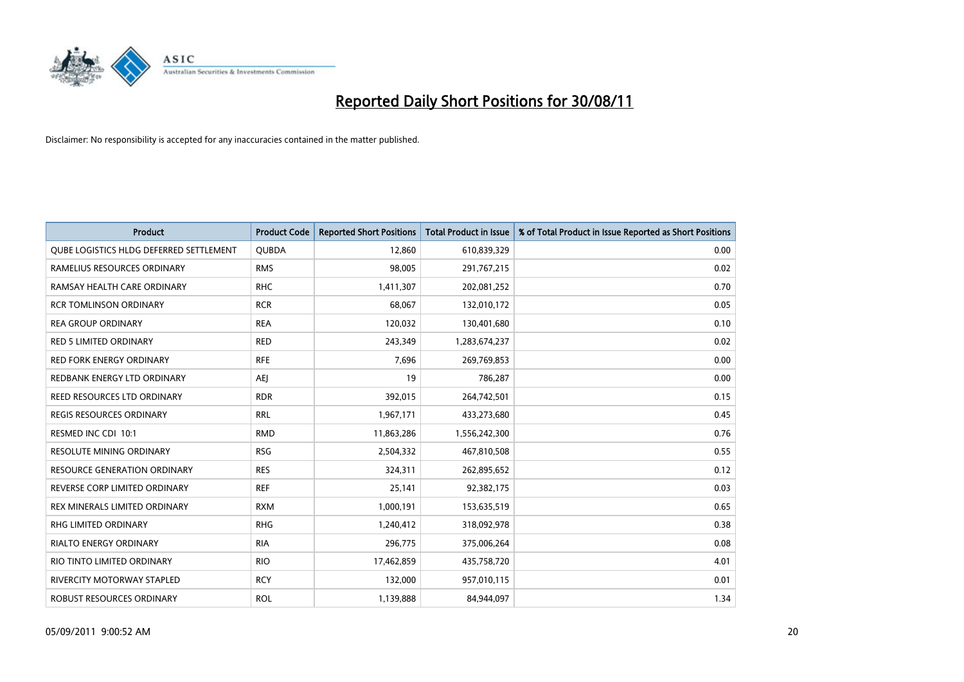

| Product                                 | <b>Product Code</b> | <b>Reported Short Positions</b> | <b>Total Product in Issue</b> | % of Total Product in Issue Reported as Short Positions |
|-----------------------------------------|---------------------|---------------------------------|-------------------------------|---------------------------------------------------------|
| QUBE LOGISTICS HLDG DEFERRED SETTLEMENT | <b>QUBDA</b>        | 12,860                          | 610,839,329                   | 0.00                                                    |
| RAMELIUS RESOURCES ORDINARY             | <b>RMS</b>          | 98,005                          | 291,767,215                   | 0.02                                                    |
| RAMSAY HEALTH CARE ORDINARY             | <b>RHC</b>          | 1,411,307                       | 202,081,252                   | 0.70                                                    |
| <b>RCR TOMLINSON ORDINARY</b>           | <b>RCR</b>          | 68,067                          | 132,010,172                   | 0.05                                                    |
| <b>REA GROUP ORDINARY</b>               | <b>REA</b>          | 120,032                         | 130,401,680                   | 0.10                                                    |
| <b>RED 5 LIMITED ORDINARY</b>           | <b>RED</b>          | 243,349                         | 1,283,674,237                 | 0.02                                                    |
| RED FORK ENERGY ORDINARY                | <b>RFE</b>          | 7,696                           | 269,769,853                   | 0.00                                                    |
| REDBANK ENERGY LTD ORDINARY             | <b>AEI</b>          | 19                              | 786,287                       | 0.00                                                    |
| REED RESOURCES LTD ORDINARY             | <b>RDR</b>          | 392,015                         | 264,742,501                   | 0.15                                                    |
| <b>REGIS RESOURCES ORDINARY</b>         | <b>RRL</b>          | 1,967,171                       | 433,273,680                   | 0.45                                                    |
| RESMED INC CDI 10:1                     | <b>RMD</b>          | 11,863,286                      | 1,556,242,300                 | 0.76                                                    |
| <b>RESOLUTE MINING ORDINARY</b>         | <b>RSG</b>          | 2,504,332                       | 467,810,508                   | 0.55                                                    |
| <b>RESOURCE GENERATION ORDINARY</b>     | <b>RES</b>          | 324,311                         | 262,895,652                   | 0.12                                                    |
| REVERSE CORP LIMITED ORDINARY           | <b>REF</b>          | 25,141                          | 92,382,175                    | 0.03                                                    |
| REX MINERALS LIMITED ORDINARY           | <b>RXM</b>          | 1,000,191                       | 153,635,519                   | 0.65                                                    |
| RHG LIMITED ORDINARY                    | <b>RHG</b>          | 1,240,412                       | 318,092,978                   | 0.38                                                    |
| RIALTO ENERGY ORDINARY                  | <b>RIA</b>          | 296,775                         | 375,006,264                   | 0.08                                                    |
| RIO TINTO LIMITED ORDINARY              | <b>RIO</b>          | 17,462,859                      | 435,758,720                   | 4.01                                                    |
| <b>RIVERCITY MOTORWAY STAPLED</b>       | <b>RCY</b>          | 132,000                         | 957,010,115                   | 0.01                                                    |
| ROBUST RESOURCES ORDINARY               | <b>ROL</b>          | 1,139,888                       | 84,944,097                    | 1.34                                                    |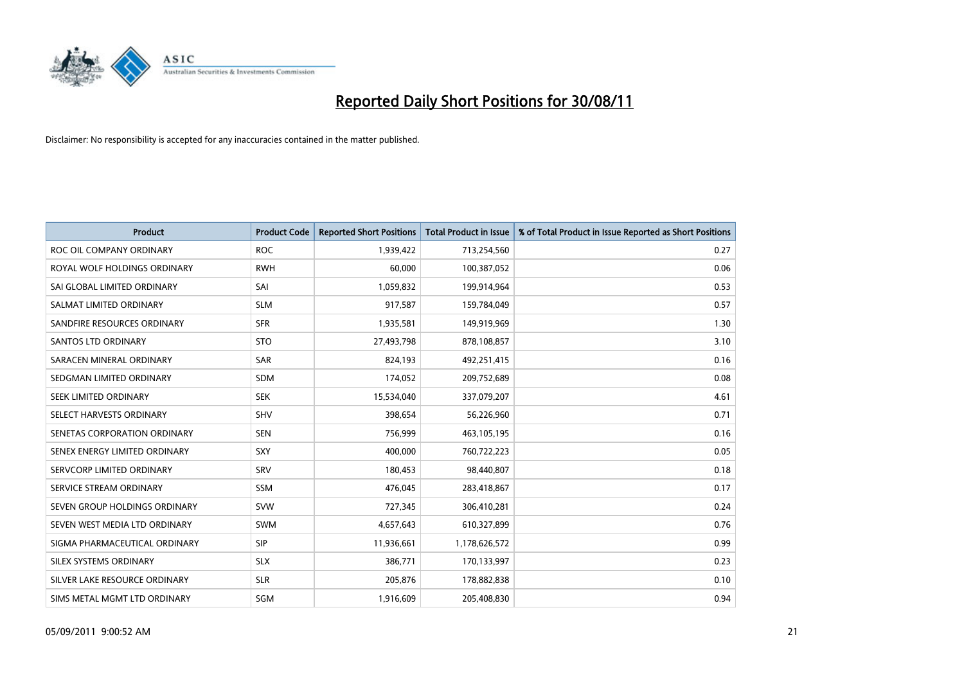

| <b>Product</b>                | <b>Product Code</b> | <b>Reported Short Positions</b> | <b>Total Product in Issue</b> | % of Total Product in Issue Reported as Short Positions |
|-------------------------------|---------------------|---------------------------------|-------------------------------|---------------------------------------------------------|
| ROC OIL COMPANY ORDINARY      | <b>ROC</b>          | 1,939,422                       | 713,254,560                   | 0.27                                                    |
| ROYAL WOLF HOLDINGS ORDINARY  | <b>RWH</b>          | 60,000                          | 100,387,052                   | 0.06                                                    |
| SAI GLOBAL LIMITED ORDINARY   | SAI                 | 1,059,832                       | 199,914,964                   | 0.53                                                    |
| SALMAT LIMITED ORDINARY       | <b>SLM</b>          | 917,587                         | 159,784,049                   | 0.57                                                    |
| SANDFIRE RESOURCES ORDINARY   | <b>SFR</b>          | 1,935,581                       | 149,919,969                   | 1.30                                                    |
| <b>SANTOS LTD ORDINARY</b>    | <b>STO</b>          | 27,493,798                      | 878,108,857                   | 3.10                                                    |
| SARACEN MINERAL ORDINARY      | <b>SAR</b>          | 824,193                         | 492,251,415                   | 0.16                                                    |
| SEDGMAN LIMITED ORDINARY      | <b>SDM</b>          | 174,052                         | 209,752,689                   | 0.08                                                    |
| SEEK LIMITED ORDINARY         | <b>SEK</b>          | 15,534,040                      | 337,079,207                   | 4.61                                                    |
| SELECT HARVESTS ORDINARY      | <b>SHV</b>          | 398,654                         | 56,226,960                    | 0.71                                                    |
| SENETAS CORPORATION ORDINARY  | <b>SEN</b>          | 756,999                         | 463,105,195                   | 0.16                                                    |
| SENEX ENERGY LIMITED ORDINARY | SXY                 | 400,000                         | 760,722,223                   | 0.05                                                    |
| SERVCORP LIMITED ORDINARY     | SRV                 | 180,453                         | 98,440,807                    | 0.18                                                    |
| SERVICE STREAM ORDINARY       | <b>SSM</b>          | 476,045                         | 283,418,867                   | 0.17                                                    |
| SEVEN GROUP HOLDINGS ORDINARY | <b>SVW</b>          | 727,345                         | 306,410,281                   | 0.24                                                    |
| SEVEN WEST MEDIA LTD ORDINARY | <b>SWM</b>          | 4,657,643                       | 610,327,899                   | 0.76                                                    |
| SIGMA PHARMACEUTICAL ORDINARY | <b>SIP</b>          | 11,936,661                      | 1,178,626,572                 | 0.99                                                    |
| SILEX SYSTEMS ORDINARY        | <b>SLX</b>          | 386,771                         | 170,133,997                   | 0.23                                                    |
| SILVER LAKE RESOURCE ORDINARY | <b>SLR</b>          | 205,876                         | 178,882,838                   | 0.10                                                    |
| SIMS METAL MGMT LTD ORDINARY  | <b>SGM</b>          | 1,916,609                       | 205,408,830                   | 0.94                                                    |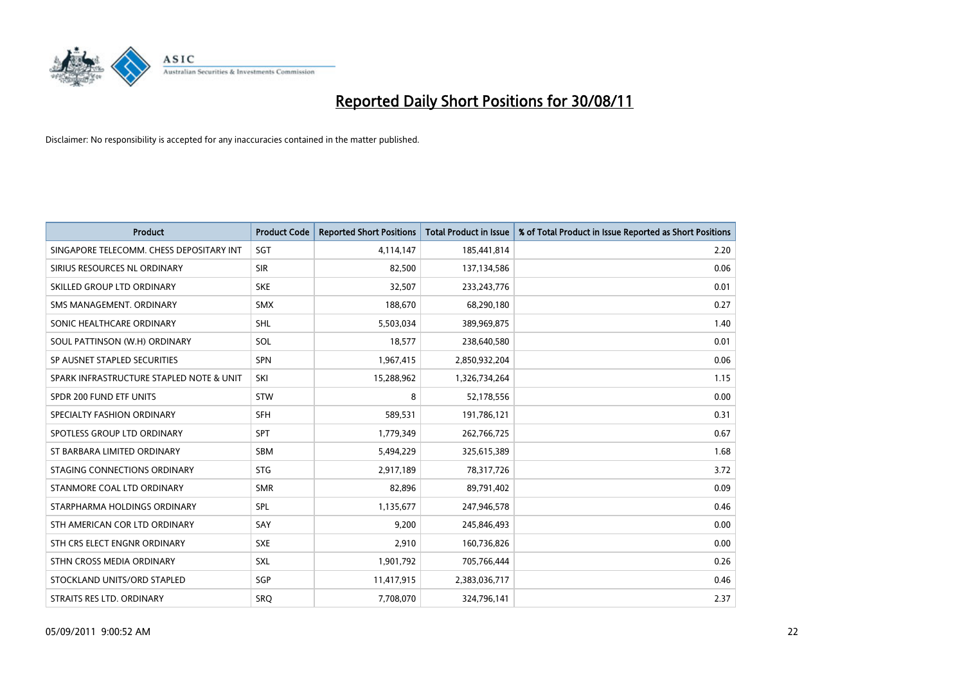

| Product                                  | <b>Product Code</b> | <b>Reported Short Positions</b> | Total Product in Issue | % of Total Product in Issue Reported as Short Positions |
|------------------------------------------|---------------------|---------------------------------|------------------------|---------------------------------------------------------|
| SINGAPORE TELECOMM. CHESS DEPOSITARY INT | <b>SGT</b>          | 4,114,147                       | 185,441,814            | 2.20                                                    |
| SIRIUS RESOURCES NL ORDINARY             | <b>SIR</b>          | 82,500                          | 137,134,586            | 0.06                                                    |
| SKILLED GROUP LTD ORDINARY               | <b>SKE</b>          | 32,507                          | 233, 243, 776          | 0.01                                                    |
| SMS MANAGEMENT, ORDINARY                 | <b>SMX</b>          | 188,670                         | 68,290,180             | 0.27                                                    |
| SONIC HEALTHCARE ORDINARY                | <b>SHL</b>          | 5,503,034                       | 389,969,875            | 1.40                                                    |
| SOUL PATTINSON (W.H) ORDINARY            | SOL                 | 18,577                          | 238,640,580            | 0.01                                                    |
| SP AUSNET STAPLED SECURITIES             | SPN                 | 1,967,415                       | 2,850,932,204          | 0.06                                                    |
| SPARK INFRASTRUCTURE STAPLED NOTE & UNIT | SKI                 | 15,288,962                      | 1,326,734,264          | 1.15                                                    |
| SPDR 200 FUND ETF UNITS                  | <b>STW</b>          | 8                               | 52,178,556             | 0.00                                                    |
| SPECIALTY FASHION ORDINARY               | <b>SFH</b>          | 589,531                         | 191,786,121            | 0.31                                                    |
| SPOTLESS GROUP LTD ORDINARY              | <b>SPT</b>          | 1,779,349                       | 262,766,725            | 0.67                                                    |
| ST BARBARA LIMITED ORDINARY              | <b>SBM</b>          | 5,494,229                       | 325,615,389            | 1.68                                                    |
| STAGING CONNECTIONS ORDINARY             | <b>STG</b>          | 2,917,189                       | 78,317,726             | 3.72                                                    |
| STANMORE COAL LTD ORDINARY               | <b>SMR</b>          | 82,896                          | 89,791,402             | 0.09                                                    |
| STARPHARMA HOLDINGS ORDINARY             | SPL                 | 1,135,677                       | 247,946,578            | 0.46                                                    |
| STH AMERICAN COR LTD ORDINARY            | SAY                 | 9,200                           | 245,846,493            | 0.00                                                    |
| STH CRS ELECT ENGNR ORDINARY             | <b>SXE</b>          | 2,910                           | 160,736,826            | 0.00                                                    |
| STHN CROSS MEDIA ORDINARY                | SXL                 | 1,901,792                       | 705,766,444            | 0.26                                                    |
| STOCKLAND UNITS/ORD STAPLED              | SGP                 | 11,417,915                      | 2,383,036,717          | 0.46                                                    |
| STRAITS RES LTD. ORDINARY                | SRO                 | 7,708,070                       | 324,796,141            | 2.37                                                    |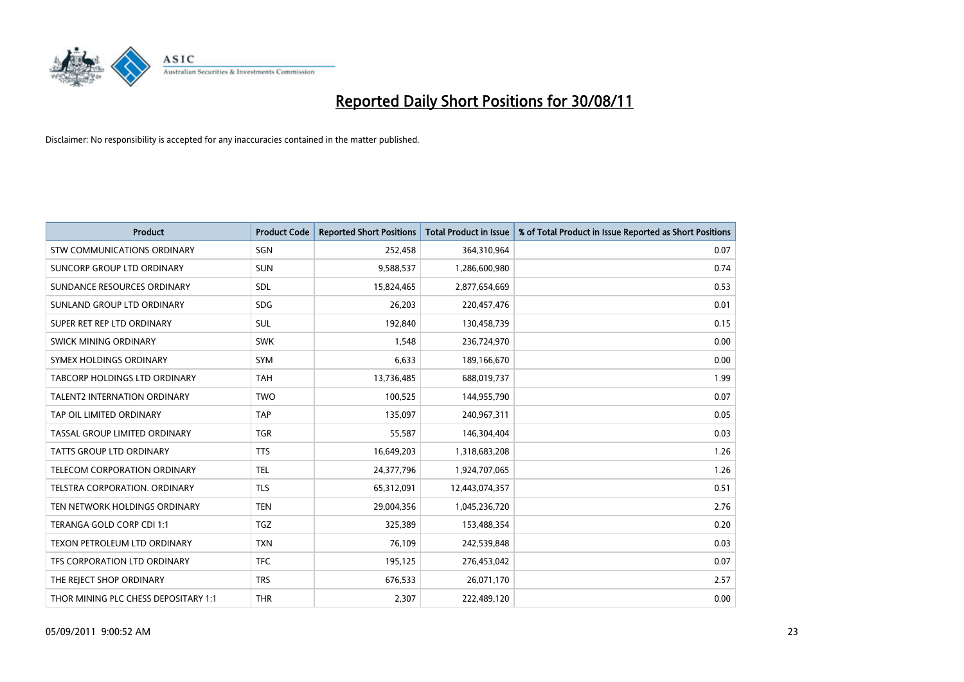

| <b>Product</b>                       | <b>Product Code</b> | <b>Reported Short Positions</b> | Total Product in Issue | % of Total Product in Issue Reported as Short Positions |
|--------------------------------------|---------------------|---------------------------------|------------------------|---------------------------------------------------------|
| <b>STW COMMUNICATIONS ORDINARY</b>   | SGN                 | 252,458                         | 364,310,964            | 0.07                                                    |
| SUNCORP GROUP LTD ORDINARY           | <b>SUN</b>          | 9,588,537                       | 1,286,600,980          | 0.74                                                    |
| SUNDANCE RESOURCES ORDINARY          | <b>SDL</b>          | 15,824,465                      | 2,877,654,669          | 0.53                                                    |
| SUNLAND GROUP LTD ORDINARY           | <b>SDG</b>          | 26,203                          | 220,457,476            | 0.01                                                    |
| SUPER RET REP LTD ORDINARY           | <b>SUL</b>          | 192,840                         | 130,458,739            | 0.15                                                    |
| SWICK MINING ORDINARY                | <b>SWK</b>          | 1,548                           | 236,724,970            | 0.00                                                    |
| SYMEX HOLDINGS ORDINARY              | <b>SYM</b>          | 6,633                           | 189,166,670            | 0.00                                                    |
| <b>TABCORP HOLDINGS LTD ORDINARY</b> | <b>TAH</b>          | 13,736,485                      | 688,019,737            | 1.99                                                    |
| TALENT2 INTERNATION ORDINARY         | <b>TWO</b>          | 100,525                         | 144,955,790            | 0.07                                                    |
| TAP OIL LIMITED ORDINARY             | <b>TAP</b>          | 135,097                         | 240,967,311            | 0.05                                                    |
| TASSAL GROUP LIMITED ORDINARY        | <b>TGR</b>          | 55,587                          | 146,304,404            | 0.03                                                    |
| <b>TATTS GROUP LTD ORDINARY</b>      | <b>TTS</b>          | 16,649,203                      | 1,318,683,208          | 1.26                                                    |
| <b>TELECOM CORPORATION ORDINARY</b>  | <b>TEL</b>          | 24,377,796                      | 1,924,707,065          | 1.26                                                    |
| TELSTRA CORPORATION, ORDINARY        | <b>TLS</b>          | 65,312,091                      | 12,443,074,357         | 0.51                                                    |
| TEN NETWORK HOLDINGS ORDINARY        | <b>TEN</b>          | 29,004,356                      | 1,045,236,720          | 2.76                                                    |
| TERANGA GOLD CORP CDI 1:1            | <b>TGZ</b>          | 325,389                         | 153,488,354            | 0.20                                                    |
| TEXON PETROLEUM LTD ORDINARY         | <b>TXN</b>          | 76,109                          | 242,539,848            | 0.03                                                    |
| TFS CORPORATION LTD ORDINARY         | <b>TFC</b>          | 195,125                         | 276,453,042            | 0.07                                                    |
| THE REJECT SHOP ORDINARY             | <b>TRS</b>          | 676,533                         | 26,071,170             | 2.57                                                    |
| THOR MINING PLC CHESS DEPOSITARY 1:1 | <b>THR</b>          | 2,307                           | 222,489,120            | 0.00                                                    |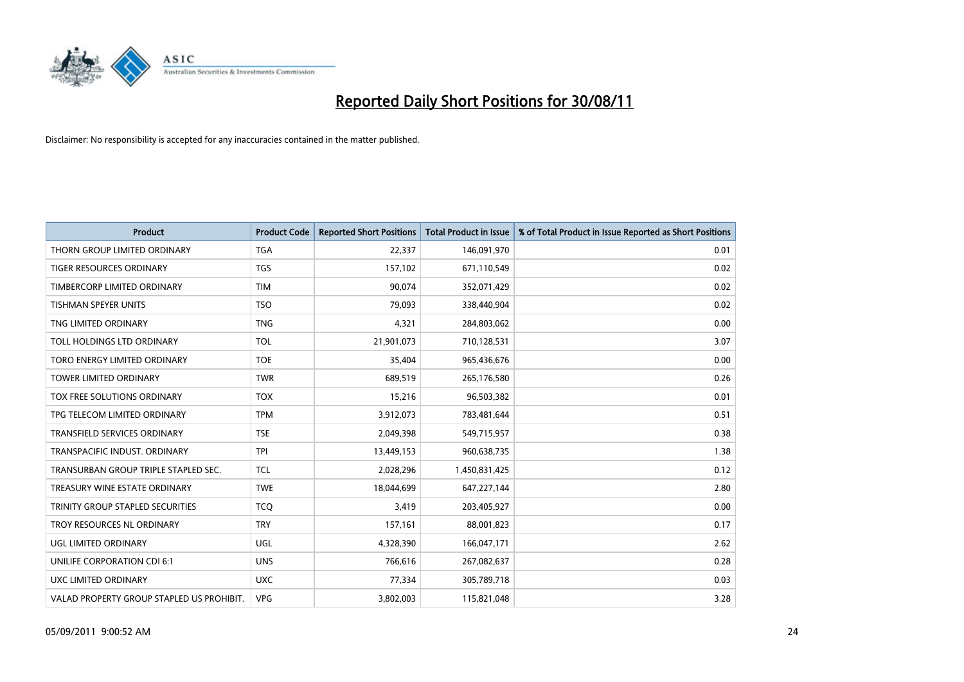

| Product                                   | <b>Product Code</b> | <b>Reported Short Positions</b> | Total Product in Issue | % of Total Product in Issue Reported as Short Positions |
|-------------------------------------------|---------------------|---------------------------------|------------------------|---------------------------------------------------------|
| THORN GROUP LIMITED ORDINARY              | <b>TGA</b>          | 22,337                          | 146,091,970            | 0.01                                                    |
| <b>TIGER RESOURCES ORDINARY</b>           | <b>TGS</b>          | 157,102                         | 671,110,549            | 0.02                                                    |
| TIMBERCORP LIMITED ORDINARY               | <b>TIM</b>          | 90,074                          | 352,071,429            | 0.02                                                    |
| TISHMAN SPEYER UNITS                      | <b>TSO</b>          | 79,093                          | 338,440,904            | 0.02                                                    |
| TNG LIMITED ORDINARY                      | <b>TNG</b>          | 4,321                           | 284,803,062            | 0.00                                                    |
| TOLL HOLDINGS LTD ORDINARY                | <b>TOL</b>          | 21,901,073                      | 710,128,531            | 3.07                                                    |
| TORO ENERGY LIMITED ORDINARY              | <b>TOE</b>          | 35,404                          | 965,436,676            | 0.00                                                    |
| <b>TOWER LIMITED ORDINARY</b>             | <b>TWR</b>          | 689,519                         | 265,176,580            | 0.26                                                    |
| TOX FREE SOLUTIONS ORDINARY               | <b>TOX</b>          | 15,216                          | 96,503,382             | 0.01                                                    |
| TPG TELECOM LIMITED ORDINARY              | <b>TPM</b>          | 3,912,073                       | 783,481,644            | 0.51                                                    |
| <b>TRANSFIELD SERVICES ORDINARY</b>       | <b>TSE</b>          | 2,049,398                       | 549,715,957            | 0.38                                                    |
| TRANSPACIFIC INDUST, ORDINARY             | <b>TPI</b>          | 13,449,153                      | 960,638,735            | 1.38                                                    |
| TRANSURBAN GROUP TRIPLE STAPLED SEC.      | <b>TCL</b>          | 2,028,296                       | 1,450,831,425          | 0.12                                                    |
| TREASURY WINE ESTATE ORDINARY             | <b>TWE</b>          | 18,044,699                      | 647,227,144            | 2.80                                                    |
| TRINITY GROUP STAPLED SECURITIES          | <b>TCO</b>          | 3,419                           | 203,405,927            | 0.00                                                    |
| TROY RESOURCES NL ORDINARY                | <b>TRY</b>          | 157,161                         | 88,001,823             | 0.17                                                    |
| UGL LIMITED ORDINARY                      | UGL                 | 4,328,390                       | 166,047,171            | 2.62                                                    |
| UNILIFE CORPORATION CDI 6:1               | <b>UNS</b>          | 766,616                         | 267,082,637            | 0.28                                                    |
| UXC LIMITED ORDINARY                      | <b>UXC</b>          | 77,334                          | 305,789,718            | 0.03                                                    |
| VALAD PROPERTY GROUP STAPLED US PROHIBIT. | <b>VPG</b>          | 3,802,003                       | 115,821,048            | 3.28                                                    |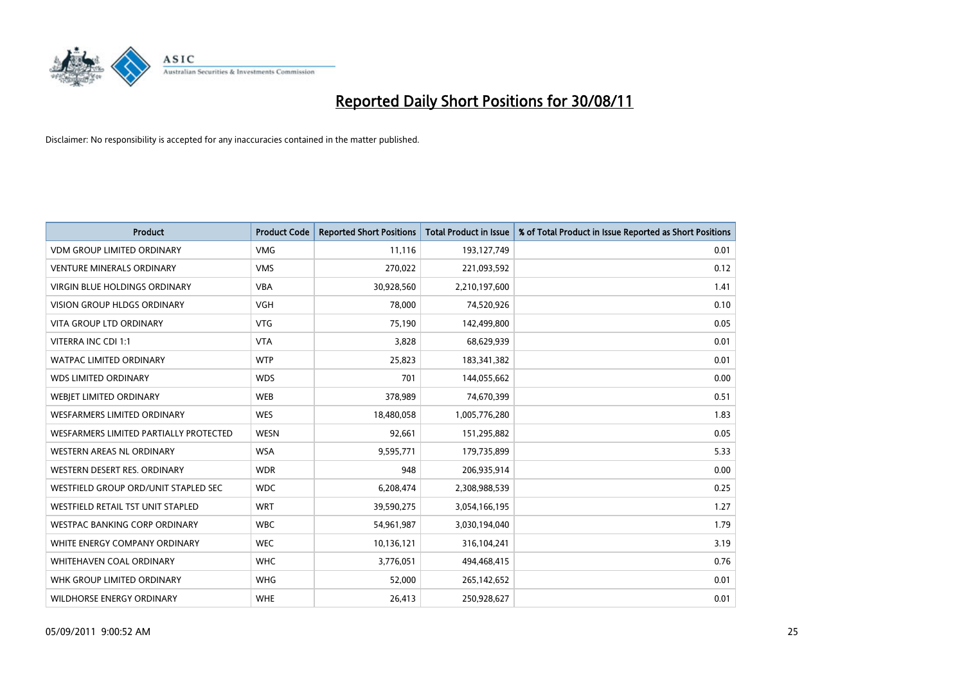

| Product                                | <b>Product Code</b> | <b>Reported Short Positions</b> | Total Product in Issue | % of Total Product in Issue Reported as Short Positions |
|----------------------------------------|---------------------|---------------------------------|------------------------|---------------------------------------------------------|
| <b>VDM GROUP LIMITED ORDINARY</b>      | <b>VMG</b>          | 11,116                          | 193,127,749            | 0.01                                                    |
| <b>VENTURE MINERALS ORDINARY</b>       | <b>VMS</b>          | 270,022                         | 221,093,592            | 0.12                                                    |
| <b>VIRGIN BLUE HOLDINGS ORDINARY</b>   | <b>VBA</b>          | 30,928,560                      | 2,210,197,600          | 1.41                                                    |
| <b>VISION GROUP HLDGS ORDINARY</b>     | <b>VGH</b>          | 78,000                          | 74,520,926             | 0.10                                                    |
| <b>VITA GROUP LTD ORDINARY</b>         | <b>VTG</b>          | 75,190                          | 142,499,800            | 0.05                                                    |
| VITERRA INC CDI 1:1                    | <b>VTA</b>          | 3,828                           | 68,629,939             | 0.01                                                    |
| <b>WATPAC LIMITED ORDINARY</b>         | <b>WTP</b>          | 25,823                          | 183,341,382            | 0.01                                                    |
| <b>WDS LIMITED ORDINARY</b>            | <b>WDS</b>          | 701                             | 144,055,662            | 0.00                                                    |
| WEBJET LIMITED ORDINARY                | <b>WEB</b>          | 378,989                         | 74,670,399             | 0.51                                                    |
| <b>WESFARMERS LIMITED ORDINARY</b>     | <b>WES</b>          | 18,480,058                      | 1,005,776,280          | 1.83                                                    |
| WESFARMERS LIMITED PARTIALLY PROTECTED | <b>WESN</b>         | 92,661                          | 151,295,882            | 0.05                                                    |
| <b>WESTERN AREAS NL ORDINARY</b>       | <b>WSA</b>          | 9,595,771                       | 179,735,899            | 5.33                                                    |
| WESTERN DESERT RES. ORDINARY           | <b>WDR</b>          | 948                             | 206,935,914            | 0.00                                                    |
| WESTFIELD GROUP ORD/UNIT STAPLED SEC   | <b>WDC</b>          | 6,208,474                       | 2,308,988,539          | 0.25                                                    |
| WESTFIELD RETAIL TST UNIT STAPLED      | <b>WRT</b>          | 39,590,275                      | 3,054,166,195          | 1.27                                                    |
| <b>WESTPAC BANKING CORP ORDINARY</b>   | <b>WBC</b>          | 54,961,987                      | 3,030,194,040          | 1.79                                                    |
| WHITE ENERGY COMPANY ORDINARY          | <b>WEC</b>          | 10,136,121                      | 316,104,241            | 3.19                                                    |
| WHITEHAVEN COAL ORDINARY               | <b>WHC</b>          | 3,776,051                       | 494,468,415            | 0.76                                                    |
| WHK GROUP LIMITED ORDINARY             | <b>WHG</b>          | 52,000                          | 265,142,652            | 0.01                                                    |
| WILDHORSE ENERGY ORDINARY              | <b>WHE</b>          | 26,413                          | 250,928,627            | 0.01                                                    |